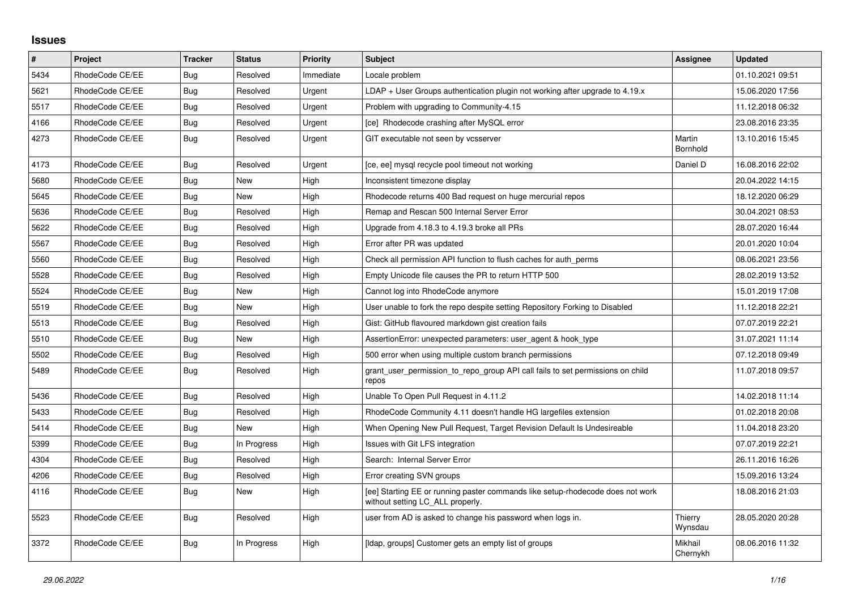## **Issues**

| $\pmb{\#}$ | Project         | <b>Tracker</b> | <b>Status</b> | <b>Priority</b> | <b>Subject</b>                                                                                                     | Assignee            | <b>Updated</b>   |
|------------|-----------------|----------------|---------------|-----------------|--------------------------------------------------------------------------------------------------------------------|---------------------|------------------|
| 5434       | RhodeCode CE/EE | Bug            | Resolved      | Immediate       | Locale problem                                                                                                     |                     | 01.10.2021 09:51 |
| 5621       | RhodeCode CE/EE | <b>Bug</b>     | Resolved      | Urgent          | $LDAP + User Groups$ authentication plugin not working after upgrade to 4.19. $x$                                  |                     | 15.06.2020 17:56 |
| 5517       | RhodeCode CE/EE | Bug            | Resolved      | Urgent          | Problem with upgrading to Community-4.15                                                                           |                     | 11.12.2018 06:32 |
| 4166       | RhodeCode CE/EE | <b>Bug</b>     | Resolved      | Urgent          | [ce] Rhodecode crashing after MySQL error                                                                          |                     | 23.08.2016 23:35 |
| 4273       | RhodeCode CE/EE | Bug            | Resolved      | Urgent          | GIT executable not seen by vcsserver                                                                               | Martin<br>Bornhold  | 13.10.2016 15:45 |
| 4173       | RhodeCode CE/EE | <b>Bug</b>     | Resolved      | Urgent          | [ce, ee] mysql recycle pool timeout not working                                                                    | Daniel D            | 16.08.2016 22:02 |
| 5680       | RhodeCode CE/EE | Bug            | New           | High            | Inconsistent timezone display                                                                                      |                     | 20.04.2022 14:15 |
| 5645       | RhodeCode CE/EE | <b>Bug</b>     | <b>New</b>    | High            | Rhodecode returns 400 Bad request on huge mercurial repos                                                          |                     | 18.12.2020 06:29 |
| 5636       | RhodeCode CE/EE | Bug            | Resolved      | High            | Remap and Rescan 500 Internal Server Error                                                                         |                     | 30.04.2021 08:53 |
| 5622       | RhodeCode CE/EE | <b>Bug</b>     | Resolved      | High            | Upgrade from 4.18.3 to 4.19.3 broke all PRs                                                                        |                     | 28.07.2020 16:44 |
| 5567       | RhodeCode CE/EE | Bug            | Resolved      | High            | Error after PR was updated                                                                                         |                     | 20.01.2020 10:04 |
| 5560       | RhodeCode CE/EE | <b>Bug</b>     | Resolved      | High            | Check all permission API function to flush caches for auth perms                                                   |                     | 08.06.2021 23:56 |
| 5528       | RhodeCode CE/EE | Bug            | Resolved      | High            | Empty Unicode file causes the PR to return HTTP 500                                                                |                     | 28.02.2019 13:52 |
| 5524       | RhodeCode CE/EE | Bug            | <b>New</b>    | High            | Cannot log into RhodeCode anymore                                                                                  |                     | 15.01.2019 17:08 |
| 5519       | RhodeCode CE/EE | <b>Bug</b>     | New           | High            | User unable to fork the repo despite setting Repository Forking to Disabled                                        |                     | 11.12.2018 22:21 |
| 5513       | RhodeCode CE/EE | Bug            | Resolved      | High            | Gist: GitHub flavoured markdown gist creation fails                                                                |                     | 07.07.2019 22:21 |
| 5510       | RhodeCode CE/EE | <b>Bug</b>     | <b>New</b>    | High            | AssertionError: unexpected parameters: user_agent & hook_type                                                      |                     | 31.07.2021 11:14 |
| 5502       | RhodeCode CE/EE | <b>Bug</b>     | Resolved      | High            | 500 error when using multiple custom branch permissions                                                            |                     | 07.12.2018 09:49 |
| 5489       | RhodeCode CE/EE | Bug            | Resolved      | High            | grant user permission to repo group API call fails to set permissions on child<br>repos                            |                     | 11.07.2018 09:57 |
| 5436       | RhodeCode CE/EE | <b>Bug</b>     | Resolved      | High            | Unable To Open Pull Request in 4.11.2                                                                              |                     | 14.02.2018 11:14 |
| 5433       | RhodeCode CE/EE | Bug            | Resolved      | High            | RhodeCode Community 4.11 doesn't handle HG largefiles extension                                                    |                     | 01.02.2018 20:08 |
| 5414       | RhodeCode CE/EE | Bug            | <b>New</b>    | High            | When Opening New Pull Request, Target Revision Default Is Undesireable                                             |                     | 11.04.2018 23:20 |
| 5399       | RhodeCode CE/EE | <b>Bug</b>     | In Progress   | High            | Issues with Git LFS integration                                                                                    |                     | 07.07.2019 22:21 |
| 4304       | RhodeCode CE/EE | Bug            | Resolved      | High            | Search: Internal Server Error                                                                                      |                     | 26.11.2016 16:26 |
| 4206       | RhodeCode CE/EE | <b>Bug</b>     | Resolved      | High            | Error creating SVN groups                                                                                          |                     | 15.09.2016 13:24 |
| 4116       | RhodeCode CE/EE | <b>Bug</b>     | New           | High            | [ee] Starting EE or running paster commands like setup-rhodecode does not work<br>without setting LC_ALL properly. |                     | 18.08.2016 21:03 |
| 5523       | RhodeCode CE/EE | Bug            | Resolved      | High            | user from AD is asked to change his password when logs in.                                                         | Thierry<br>Wynsdau  | 28.05.2020 20:28 |
| 3372       | RhodeCode CE/EE | <b>Bug</b>     | In Progress   | High            | [Idap, groups] Customer gets an empty list of groups                                                               | Mikhail<br>Chernykh | 08.06.2016 11:32 |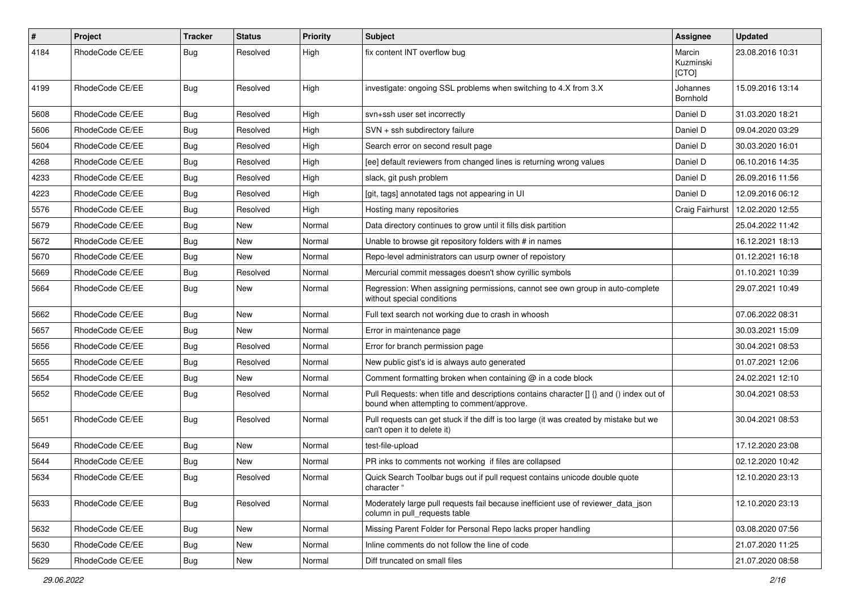| $\pmb{\#}$ | Project         | <b>Tracker</b> | <b>Status</b> | <b>Priority</b> | <b>Subject</b>                                                                                                                       | Assignee                     | <b>Updated</b>   |
|------------|-----------------|----------------|---------------|-----------------|--------------------------------------------------------------------------------------------------------------------------------------|------------------------------|------------------|
| 4184       | RhodeCode CE/EE | <b>Bug</b>     | Resolved      | High            | fix content INT overflow bug                                                                                                         | Marcin<br>Kuzminski<br>[CTO] | 23.08.2016 10:31 |
| 4199       | RhodeCode CE/EE | Bug            | Resolved      | High            | investigate: ongoing SSL problems when switching to 4.X from 3.X                                                                     | Johannes<br>Bornhold         | 15.09.2016 13:14 |
| 5608       | RhodeCode CE/EE | Bug            | Resolved      | High            | svn+ssh user set incorrectly                                                                                                         | Daniel D                     | 31.03.2020 18:21 |
| 5606       | RhodeCode CE/EE | Bug            | Resolved      | High            | SVN + ssh subdirectory failure                                                                                                       | Daniel D                     | 09.04.2020 03:29 |
| 5604       | RhodeCode CE/EE | <b>Bug</b>     | Resolved      | High            | Search error on second result page                                                                                                   | Daniel D                     | 30.03.2020 16:01 |
| 4268       | RhodeCode CE/EE | <b>Bug</b>     | Resolved      | High            | [ee] default reviewers from changed lines is returning wrong values                                                                  | Daniel D                     | 06.10.2016 14:35 |
| 4233       | RhodeCode CE/EE | Bug            | Resolved      | High            | slack, git push problem                                                                                                              | Daniel D                     | 26.09.2016 11:56 |
| 4223       | RhodeCode CE/EE | Bug            | Resolved      | High            | [git, tags] annotated tags not appearing in UI                                                                                       | Daniel D                     | 12.09.2016 06:12 |
| 5576       | RhodeCode CE/EE | Bug            | Resolved      | High            | Hosting many repositories                                                                                                            | Craig Fairhurst              | 12.02.2020 12:55 |
| 5679       | RhodeCode CE/EE | <b>Bug</b>     | New           | Normal          | Data directory continues to grow until it fills disk partition                                                                       |                              | 25.04.2022 11:42 |
| 5672       | RhodeCode CE/EE | Bug            | New           | Normal          | Unable to browse git repository folders with # in names                                                                              |                              | 16.12.2021 18:13 |
| 5670       | RhodeCode CE/EE | Bug            | <b>New</b>    | Normal          | Repo-level administrators can usurp owner of repoistory                                                                              |                              | 01.12.2021 16:18 |
| 5669       | RhodeCode CE/EE | Bug            | Resolved      | Normal          | Mercurial commit messages doesn't show cyrillic symbols                                                                              |                              | 01.10.2021 10:39 |
| 5664       | RhodeCode CE/EE | Bug            | New           | Normal          | Regression: When assigning permissions, cannot see own group in auto-complete<br>without special conditions                          |                              | 29.07.2021 10:49 |
| 5662       | RhodeCode CE/EE | <b>Bug</b>     | New           | Normal          | Full text search not working due to crash in whoosh                                                                                  |                              | 07.06.2022 08:31 |
| 5657       | RhodeCode CE/EE | Bug            | New           | Normal          | Error in maintenance page                                                                                                            |                              | 30.03.2021 15:09 |
| 5656       | RhodeCode CE/EE | Bug            | Resolved      | Normal          | Error for branch permission page                                                                                                     |                              | 30.04.2021 08:53 |
| 5655       | RhodeCode CE/EE | Bug            | Resolved      | Normal          | New public gist's id is always auto generated                                                                                        |                              | 01.07.2021 12:06 |
| 5654       | RhodeCode CE/EE | Bug            | New           | Normal          | Comment formatting broken when containing @ in a code block                                                                          |                              | 24.02.2021 12:10 |
| 5652       | RhodeCode CE/EE | Bug            | Resolved      | Normal          | Pull Requests: when title and descriptions contains character [] {} and () index out of<br>bound when attempting to comment/approve. |                              | 30.04.2021 08:53 |
| 5651       | RhodeCode CE/EE | Bug            | Resolved      | Normal          | Pull requests can get stuck if the diff is too large (it was created by mistake but we<br>can't open it to delete it)                |                              | 30.04.2021 08:53 |
| 5649       | RhodeCode CE/EE | Bug            | New           | Normal          | test-file-upload                                                                                                                     |                              | 17.12.2020 23:08 |
| 5644       | RhodeCode CE/EE | Bug            | New           | Normal          | PR inks to comments not working if files are collapsed                                                                               |                              | 02.12.2020 10:42 |
| 5634       | RhodeCode CE/EE | Bug            | Resolved      | Normal          | Quick Search Toolbar bugs out if pull request contains unicode double quote<br>character "                                           |                              | 12.10.2020 23:13 |
| 5633       | RhodeCode CE/EE | Bug            | Resolved      | Normal          | Moderately large pull requests fail because inefficient use of reviewer_data_json<br>column in pull requests table                   |                              | 12.10.2020 23:13 |
| 5632       | RhodeCode CE/EE | Bug            | New           | Normal          | Missing Parent Folder for Personal Repo lacks proper handling                                                                        |                              | 03.08.2020 07:56 |
| 5630       | RhodeCode CE/EE | <b>Bug</b>     | New           | Normal          | Inline comments do not follow the line of code                                                                                       |                              | 21.07.2020 11:25 |
| 5629       | RhodeCode CE/EE | <b>Bug</b>     | New           | Normal          | Diff truncated on small files                                                                                                        |                              | 21.07.2020 08:58 |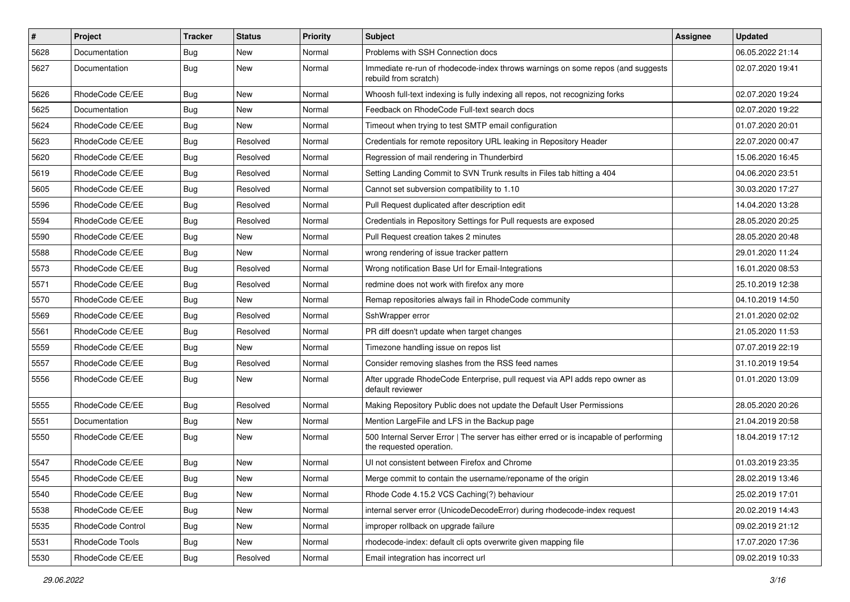| $\pmb{\#}$ | <b>Project</b>    | <b>Tracker</b> | <b>Status</b> | <b>Priority</b> | <b>Subject</b>                                                                                                    | Assignee | <b>Updated</b>   |
|------------|-------------------|----------------|---------------|-----------------|-------------------------------------------------------------------------------------------------------------------|----------|------------------|
| 5628       | Documentation     | <b>Bug</b>     | New           | Normal          | Problems with SSH Connection docs                                                                                 |          | 06.05.2022 21:14 |
| 5627       | Documentation     | Bug            | New           | Normal          | Immediate re-run of rhodecode-index throws warnings on some repos (and suggests<br>rebuild from scratch)          |          | 02.07.2020 19:41 |
| 5626       | RhodeCode CE/EE   | <b>Bug</b>     | New           | Normal          | Whoosh full-text indexing is fully indexing all repos, not recognizing forks                                      |          | 02.07.2020 19:24 |
| 5625       | Documentation     | <b>Bug</b>     | <b>New</b>    | Normal          | Feedback on RhodeCode Full-text search docs                                                                       |          | 02.07.2020 19:22 |
| 5624       | RhodeCode CE/EE   | <b>Bug</b>     | New           | Normal          | Timeout when trying to test SMTP email configuration                                                              |          | 01.07.2020 20:01 |
| 5623       | RhodeCode CE/EE   | <b>Bug</b>     | Resolved      | Normal          | Credentials for remote repository URL leaking in Repository Header                                                |          | 22.07.2020 00:47 |
| 5620       | RhodeCode CE/EE   | <b>Bug</b>     | Resolved      | Normal          | Regression of mail rendering in Thunderbird                                                                       |          | 15.06.2020 16:45 |
| 5619       | RhodeCode CE/EE   | <b>Bug</b>     | Resolved      | Normal          | Setting Landing Commit to SVN Trunk results in Files tab hitting a 404                                            |          | 04.06.2020 23:51 |
| 5605       | RhodeCode CE/EE   | Bug            | Resolved      | Normal          | Cannot set subversion compatibility to 1.10                                                                       |          | 30.03.2020 17:27 |
| 5596       | RhodeCode CE/EE   | <b>Bug</b>     | Resolved      | Normal          | Pull Request duplicated after description edit                                                                    |          | 14.04.2020 13:28 |
| 5594       | RhodeCode CE/EE   | Bug            | Resolved      | Normal          | Credentials in Repository Settings for Pull requests are exposed                                                  |          | 28.05.2020 20:25 |
| 5590       | RhodeCode CE/EE   | <b>Bug</b>     | New           | Normal          | Pull Request creation takes 2 minutes                                                                             |          | 28.05.2020 20:48 |
| 5588       | RhodeCode CE/EE   | <b>Bug</b>     | New           | Normal          | wrong rendering of issue tracker pattern                                                                          |          | 29.01.2020 11:24 |
| 5573       | RhodeCode CE/EE   | Bug            | Resolved      | Normal          | Wrong notification Base Url for Email-Integrations                                                                |          | 16.01.2020 08:53 |
| 5571       | RhodeCode CE/EE   | <b>Bug</b>     | Resolved      | Normal          | redmine does not work with firefox any more                                                                       |          | 25.10.2019 12:38 |
| 5570       | RhodeCode CE/EE   | Bug            | New           | Normal          | Remap repositories always fail in RhodeCode community                                                             |          | 04.10.2019 14:50 |
| 5569       | RhodeCode CE/EE   | Bug            | Resolved      | Normal          | SshWrapper error                                                                                                  |          | 21.01.2020 02:02 |
| 5561       | RhodeCode CE/EE   | <b>Bug</b>     | Resolved      | Normal          | PR diff doesn't update when target changes                                                                        |          | 21.05.2020 11:53 |
| 5559       | RhodeCode CE/EE   | Bug            | New           | Normal          | Timezone handling issue on repos list                                                                             |          | 07.07.2019 22:19 |
| 5557       | RhodeCode CE/EE   | Bug            | Resolved      | Normal          | Consider removing slashes from the RSS feed names                                                                 |          | 31.10.2019 19:54 |
| 5556       | RhodeCode CE/EE   | <b>Bug</b>     | New           | Normal          | After upgrade RhodeCode Enterprise, pull request via API adds repo owner as<br>default reviewer                   |          | 01.01.2020 13:09 |
| 5555       | RhodeCode CE/EE   | Bug            | Resolved      | Normal          | Making Repository Public does not update the Default User Permissions                                             |          | 28.05.2020 20:26 |
| 5551       | Documentation     | <b>Bug</b>     | New           | Normal          | Mention LargeFile and LFS in the Backup page                                                                      |          | 21.04.2019 20:58 |
| 5550       | RhodeCode CE/EE   | Bug            | <b>New</b>    | Normal          | 500 Internal Server Error   The server has either erred or is incapable of performing<br>the requested operation. |          | 18.04.2019 17:12 |
| 5547       | RhodeCode CE/EE   | Bug            | New           | Normal          | UI not consistent between Firefox and Chrome                                                                      |          | 01.03.2019 23:35 |
| 5545       | RhodeCode CE/EE   | Bug            | New           | Normal          | Merge commit to contain the username/reponame of the origin                                                       |          | 28.02.2019 13:46 |
| 5540       | RhodeCode CE/EE   | Bug            | New           | Normal          | Rhode Code 4.15.2 VCS Caching(?) behaviour                                                                        |          | 25.02.2019 17:01 |
| 5538       | RhodeCode CE/EE   | <b>Bug</b>     | New           | Normal          | internal server error (UnicodeDecodeError) during rhodecode-index request                                         |          | 20.02.2019 14:43 |
| 5535       | RhodeCode Control | <b>Bug</b>     | New           | Normal          | improper rollback on upgrade failure                                                                              |          | 09.02.2019 21:12 |
| 5531       | RhodeCode Tools   | Bug            | New           | Normal          | rhodecode-index: default cli opts overwrite given mapping file                                                    |          | 17.07.2020 17:36 |
| 5530       | RhodeCode CE/EE   | <b>Bug</b>     | Resolved      | Normal          | Email integration has incorrect url                                                                               |          | 09.02.2019 10:33 |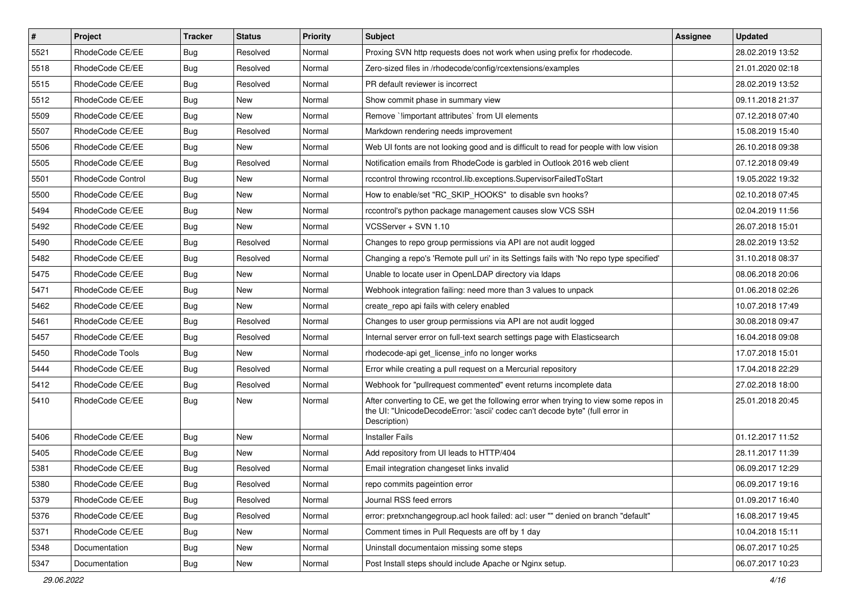| $\vert$ # | Project           | <b>Tracker</b> | <b>Status</b> | Priority | Subject                                                                                                                                                                              | <b>Assignee</b> | <b>Updated</b>   |
|-----------|-------------------|----------------|---------------|----------|--------------------------------------------------------------------------------------------------------------------------------------------------------------------------------------|-----------------|------------------|
| 5521      | RhodeCode CE/EE   | Bug            | Resolved      | Normal   | Proxing SVN http requests does not work when using prefix for rhodecode.                                                                                                             |                 | 28.02.2019 13:52 |
| 5518      | RhodeCode CE/EE   | Bug            | Resolved      | Normal   | Zero-sized files in /rhodecode/config/rcextensions/examples                                                                                                                          |                 | 21.01.2020 02:18 |
| 5515      | RhodeCode CE/EE   | Bug            | Resolved      | Normal   | PR default reviewer is incorrect                                                                                                                                                     |                 | 28.02.2019 13:52 |
| 5512      | RhodeCode CE/EE   | <b>Bug</b>     | New           | Normal   | Show commit phase in summary view                                                                                                                                                    |                 | 09.11.2018 21:37 |
| 5509      | RhodeCode CE/EE   | Bug            | New           | Normal   | Remove `!important attributes` from UI elements                                                                                                                                      |                 | 07.12.2018 07:40 |
| 5507      | RhodeCode CE/EE   | <b>Bug</b>     | Resolved      | Normal   | Markdown rendering needs improvement                                                                                                                                                 |                 | 15.08.2019 15:40 |
| 5506      | RhodeCode CE/EE   | Bug            | New           | Normal   | Web UI fonts are not looking good and is difficult to read for people with low vision                                                                                                |                 | 26.10.2018 09:38 |
| 5505      | RhodeCode CE/EE   | <b>Bug</b>     | Resolved      | Normal   | Notification emails from RhodeCode is garbled in Outlook 2016 web client                                                                                                             |                 | 07.12.2018 09:49 |
| 5501      | RhodeCode Control | Bug            | New           | Normal   | rccontrol throwing rccontrol.lib.exceptions.SupervisorFailedToStart                                                                                                                  |                 | 19.05.2022 19:32 |
| 5500      | RhodeCode CE/EE   | Bug            | New           | Normal   | How to enable/set "RC_SKIP_HOOKS" to disable svn hooks?                                                                                                                              |                 | 02.10.2018 07:45 |
| 5494      | RhodeCode CE/EE   | Bug            | New           | Normal   | rccontrol's python package management causes slow VCS SSH                                                                                                                            |                 | 02.04.2019 11:56 |
| 5492      | RhodeCode CE/EE   | Bug            | <b>New</b>    | Normal   | VCSServer + SVN 1.10                                                                                                                                                                 |                 | 26.07.2018 15:01 |
| 5490      | RhodeCode CE/EE   | <b>Bug</b>     | Resolved      | Normal   | Changes to repo group permissions via API are not audit logged                                                                                                                       |                 | 28.02.2019 13:52 |
| 5482      | RhodeCode CE/EE   | Bug            | Resolved      | Normal   | Changing a repo's 'Remote pull uri' in its Settings fails with 'No repo type specified'                                                                                              |                 | 31.10.2018 08:37 |
| 5475      | RhodeCode CE/EE   | Bug            | <b>New</b>    | Normal   | Unable to locate user in OpenLDAP directory via Idaps                                                                                                                                |                 | 08.06.2018 20:06 |
| 5471      | RhodeCode CE/EE   | Bug            | <b>New</b>    | Normal   | Webhook integration failing: need more than 3 values to unpack                                                                                                                       |                 | 01.06.2018 02:26 |
| 5462      | RhodeCode CE/EE   | <b>Bug</b>     | New           | Normal   | create repo api fails with celery enabled                                                                                                                                            |                 | 10.07.2018 17:49 |
| 5461      | RhodeCode CE/EE   | Bug            | Resolved      | Normal   | Changes to user group permissions via API are not audit logged                                                                                                                       |                 | 30.08.2018 09:47 |
| 5457      | RhodeCode CE/EE   | Bug            | Resolved      | Normal   | Internal server error on full-text search settings page with Elasticsearch                                                                                                           |                 | 16.04.2018 09:08 |
| 5450      | RhodeCode Tools   | Bug            | New           | Normal   | rhodecode-api get license info no longer works                                                                                                                                       |                 | 17.07.2018 15:01 |
| 5444      | RhodeCode CE/EE   | <b>Bug</b>     | Resolved      | Normal   | Error while creating a pull request on a Mercurial repository                                                                                                                        |                 | 17.04.2018 22:29 |
| 5412      | RhodeCode CE/EE   | Bug            | Resolved      | Normal   | Webhook for "pullrequest commented" event returns incomplete data                                                                                                                    |                 | 27.02.2018 18:00 |
| 5410      | RhodeCode CE/EE   | Bug            | New           | Normal   | After converting to CE, we get the following error when trying to view some repos in<br>the UI: "UnicodeDecodeError: 'ascii' codec can't decode byte" (full error in<br>Description) |                 | 25.01.2018 20:45 |
| 5406      | RhodeCode CE/EE   | <b>Bug</b>     | <b>New</b>    | Normal   | <b>Installer Fails</b>                                                                                                                                                               |                 | 01.12.2017 11:52 |
| 5405      | RhodeCode CE/EE   | Bug            | New           | Normal   | Add repository from UI leads to HTTP/404                                                                                                                                             |                 | 28.11.2017 11:39 |
| 5381      | RhodeCode CE/EE   | Bug            | Resolved      | Normal   | Email integration changeset links invalid                                                                                                                                            |                 | 06.09.2017 12:29 |
| 5380      | RhodeCode CE/EE   | Bug            | Resolved      | Normal   | repo commits pageintion error                                                                                                                                                        |                 | 06.09.2017 19:16 |
| 5379      | RhodeCode CE/EE   | Bug            | Resolved      | Normal   | Journal RSS feed errors                                                                                                                                                              |                 | 01.09.2017 16:40 |
| 5376      | RhodeCode CE/EE   | Bug            | Resolved      | Normal   | error: pretxnchangegroup.acl hook failed: acl: user "" denied on branch "default"                                                                                                    |                 | 16.08.2017 19:45 |
| 5371      | RhodeCode CE/EE   | <b>Bug</b>     | New           | Normal   | Comment times in Pull Requests are off by 1 day                                                                                                                                      |                 | 10.04.2018 15:11 |
| 5348      | Documentation     | <b>Bug</b>     | New           | Normal   | Uninstall documentaion missing some steps                                                                                                                                            |                 | 06.07.2017 10:25 |
| 5347      | Documentation     | <b>Bug</b>     | New           | Normal   | Post Install steps should include Apache or Nginx setup.                                                                                                                             |                 | 06.07.2017 10:23 |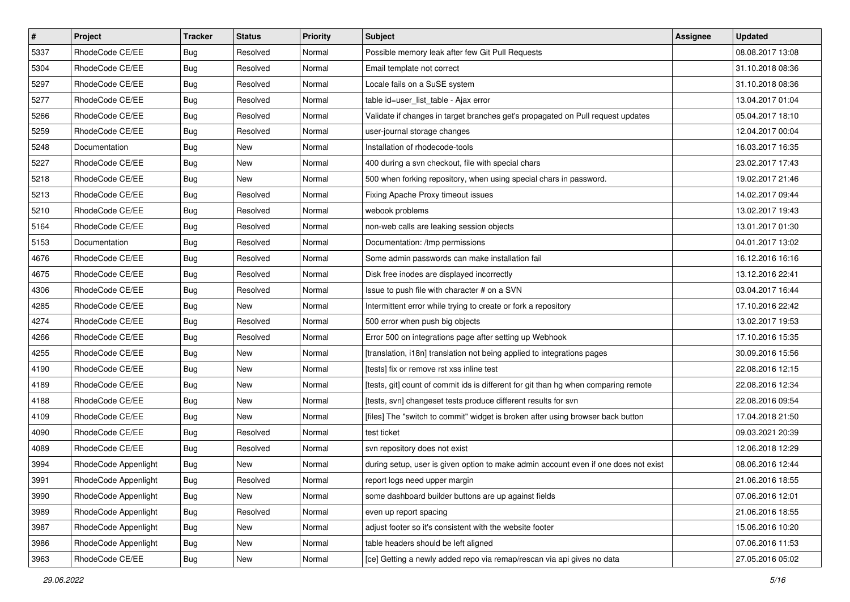| $\pmb{\#}$ | Project              | <b>Tracker</b> | <b>Status</b> | Priority | Subject                                                                             | Assignee | <b>Updated</b>   |
|------------|----------------------|----------------|---------------|----------|-------------------------------------------------------------------------------------|----------|------------------|
| 5337       | RhodeCode CE/EE      | <b>Bug</b>     | Resolved      | Normal   | Possible memory leak after few Git Pull Requests                                    |          | 08.08.2017 13:08 |
| 5304       | RhodeCode CE/EE      | Bug            | Resolved      | Normal   | Email template not correct                                                          |          | 31.10.2018 08:36 |
| 5297       | RhodeCode CE/EE      | Bug            | Resolved      | Normal   | Locale fails on a SuSE system                                                       |          | 31.10.2018 08:36 |
| 5277       | RhodeCode CE/EE      | <b>Bug</b>     | Resolved      | Normal   | table id=user_list_table - Ajax error                                               |          | 13.04.2017 01:04 |
| 5266       | RhodeCode CE/EE      | Bug            | Resolved      | Normal   | Validate if changes in target branches get's propagated on Pull request updates     |          | 05.04.2017 18:10 |
| 5259       | RhodeCode CE/EE      | <b>Bug</b>     | Resolved      | Normal   | user-journal storage changes                                                        |          | 12.04.2017 00:04 |
| 5248       | Documentation        | <b>Bug</b>     | New           | Normal   | Installation of rhodecode-tools                                                     |          | 16.03.2017 16:35 |
| 5227       | RhodeCode CE/EE      | <b>Bug</b>     | New           | Normal   | 400 during a svn checkout, file with special chars                                  |          | 23.02.2017 17:43 |
| 5218       | RhodeCode CE/EE      | <b>Bug</b>     | <b>New</b>    | Normal   | 500 when forking repository, when using special chars in password.                  |          | 19.02.2017 21:46 |
| 5213       | RhodeCode CE/EE      | Bug            | Resolved      | Normal   | Fixing Apache Proxy timeout issues                                                  |          | 14.02.2017 09:44 |
| 5210       | RhodeCode CE/EE      | <b>Bug</b>     | Resolved      | Normal   | webook problems                                                                     |          | 13.02.2017 19:43 |
| 5164       | RhodeCode CE/EE      | <b>Bug</b>     | Resolved      | Normal   | non-web calls are leaking session objects                                           |          | 13.01.2017 01:30 |
| 5153       | Documentation        | Bug            | Resolved      | Normal   | Documentation: /tmp permissions                                                     |          | 04.01.2017 13:02 |
| 4676       | RhodeCode CE/EE      | <b>Bug</b>     | Resolved      | Normal   | Some admin passwords can make installation fail                                     |          | 16.12.2016 16:16 |
| 4675       | RhodeCode CE/EE      | <b>Bug</b>     | Resolved      | Normal   | Disk free inodes are displayed incorrectly                                          |          | 13.12.2016 22:41 |
| 4306       | RhodeCode CE/EE      | Bug            | Resolved      | Normal   | Issue to push file with character # on a SVN                                        |          | 03.04.2017 16:44 |
| 4285       | RhodeCode CE/EE      | <b>Bug</b>     | New           | Normal   | Intermittent error while trying to create or fork a repository                      |          | 17.10.2016 22:42 |
| 4274       | RhodeCode CE/EE      | <b>Bug</b>     | Resolved      | Normal   | 500 error when push big objects                                                     |          | 13.02.2017 19:53 |
| 4266       | RhodeCode CE/EE      | <b>Bug</b>     | Resolved      | Normal   | Error 500 on integrations page after setting up Webhook                             |          | 17.10.2016 15:35 |
| 4255       | RhodeCode CE/EE      | <b>Bug</b>     | New           | Normal   | [translation, i18n] translation not being applied to integrations pages             |          | 30.09.2016 15:56 |
| 4190       | RhodeCode CE/EE      | Bug            | New           | Normal   | [tests] fix or remove rst xss inline test                                           |          | 22.08.2016 12:15 |
| 4189       | RhodeCode CE/EE      | <b>Bug</b>     | New           | Normal   | [tests, git] count of commit ids is different for git than hg when comparing remote |          | 22.08.2016 12:34 |
| 4188       | RhodeCode CE/EE      | <b>Bug</b>     | <b>New</b>    | Normal   | [tests, svn] changeset tests produce different results for svn                      |          | 22.08.2016 09:54 |
| 4109       | RhodeCode CE/EE      | <b>Bug</b>     | <b>New</b>    | Normal   | [files] The "switch to commit" widget is broken after using browser back button     |          | 17.04.2018 21:50 |
| 4090       | RhodeCode CE/EE      | Bug            | Resolved      | Normal   | test ticket                                                                         |          | 09.03.2021 20:39 |
| 4089       | RhodeCode CE/EE      | Bug            | Resolved      | Normal   | svn repository does not exist                                                       |          | 12.06.2018 12:29 |
| 3994       | RhodeCode Appenlight | Bug            | New           | Normal   | during setup, user is given option to make admin account even if one does not exist |          | 08.06.2016 12:44 |
| 3991       | RhodeCode Appenlight | <b>Bug</b>     | Resolved      | Normal   | report logs need upper margin                                                       |          | 21.06.2016 18:55 |
| 3990       | RhodeCode Appenlight | Bug            | New           | Normal   | some dashboard builder buttons are up against fields                                |          | 07.06.2016 12:01 |
| 3989       | RhodeCode Appenlight | Bug            | Resolved      | Normal   | even up report spacing                                                              |          | 21.06.2016 18:55 |
| 3987       | RhodeCode Appenlight | Bug            | New           | Normal   | adjust footer so it's consistent with the website footer                            |          | 15.06.2016 10:20 |
| 3986       | RhodeCode Appenlight | Bug            | New           | Normal   | table headers should be left aligned                                                |          | 07.06.2016 11:53 |
| 3963       | RhodeCode CE/EE      | Bug            | New           | Normal   | [ce] Getting a newly added repo via remap/rescan via api gives no data              |          | 27.05.2016 05:02 |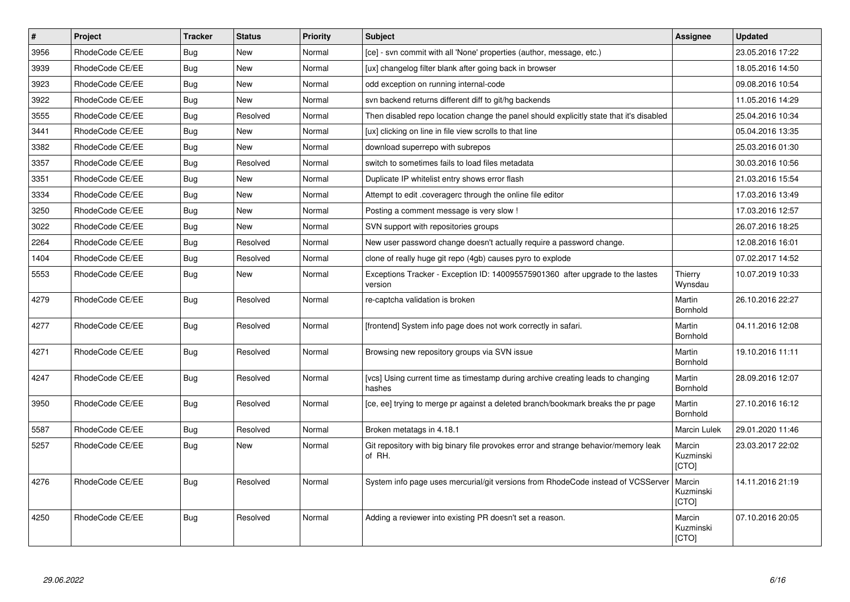| #    | Project         | <b>Tracker</b> | <b>Status</b> | <b>Priority</b> | <b>Subject</b>                                                                                | Assignee                            | <b>Updated</b>   |
|------|-----------------|----------------|---------------|-----------------|-----------------------------------------------------------------------------------------------|-------------------------------------|------------------|
| 3956 | RhodeCode CE/EE | Bug            | <b>New</b>    | Normal          | [ce] - svn commit with all 'None' properties (author, message, etc.)                          |                                     | 23.05.2016 17:22 |
| 3939 | RhodeCode CE/EE | Bug            | <b>New</b>    | Normal          | [ux] changelog filter blank after going back in browser                                       |                                     | 18.05.2016 14:50 |
| 3923 | RhodeCode CE/EE | Bug            | <b>New</b>    | Normal          | odd exception on running internal-code                                                        |                                     | 09.08.2016 10:54 |
| 3922 | RhodeCode CE/EE | Bug            | <b>New</b>    | Normal          | syn backend returns different diff to git/hg backends                                         |                                     | 11.05.2016 14:29 |
| 3555 | RhodeCode CE/EE | <b>Bug</b>     | Resolved      | Normal          | Then disabled repo location change the panel should explicitly state that it's disabled       |                                     | 25.04.2016 10:34 |
| 3441 | RhodeCode CE/EE | Bug            | <b>New</b>    | Normal          | [ux] clicking on line in file view scrolls to that line                                       |                                     | 05.04.2016 13:35 |
| 3382 | RhodeCode CE/EE | Bug            | <b>New</b>    | Normal          | download superrepo with subrepos                                                              |                                     | 25.03.2016 01:30 |
| 3357 | RhodeCode CE/EE | Bug            | Resolved      | Normal          | switch to sometimes fails to load files metadata                                              |                                     | 30.03.2016 10:56 |
| 3351 | RhodeCode CE/EE | Bug            | <b>New</b>    | Normal          | Duplicate IP whitelist entry shows error flash                                                |                                     | 21.03.2016 15:54 |
| 3334 | RhodeCode CE/EE | Bug            | <b>New</b>    | Normal          | Attempt to edit .coveragerc through the online file editor                                    |                                     | 17.03.2016 13:49 |
| 3250 | RhodeCode CE/EE | Bug            | <b>New</b>    | Normal          | Posting a comment message is very slow !                                                      |                                     | 17.03.2016 12:57 |
| 3022 | RhodeCode CE/EE | <b>Bug</b>     | <b>New</b>    | Normal          | SVN support with repositories groups                                                          |                                     | 26.07.2016 18:25 |
| 2264 | RhodeCode CE/EE | Bug            | Resolved      | Normal          | New user password change doesn't actually require a password change.                          |                                     | 12.08.2016 16:01 |
| 1404 | RhodeCode CE/EE | Bug            | Resolved      | Normal          | clone of really huge git repo (4gb) causes pyro to explode                                    |                                     | 07.02.2017 14:52 |
| 5553 | RhodeCode CE/EE | Bug            | New           | Normal          | Exceptions Tracker - Exception ID: 140095575901360 after upgrade to the lastes<br>version     | Thierry<br>Wynsdau                  | 10.07.2019 10:33 |
| 4279 | RhodeCode CE/EE | Bug            | Resolved      | Normal          | re-captcha validation is broken                                                               | Martin<br><b>Bornhold</b>           | 26.10.2016 22:27 |
| 4277 | RhodeCode CE/EE | <b>Bug</b>     | Resolved      | Normal          | [frontend] System info page does not work correctly in safari.                                | Martin<br><b>Bornhold</b>           | 04.11.2016 12:08 |
| 4271 | RhodeCode CE/EE | Bug            | Resolved      | Normal          | Browsing new repository groups via SVN issue                                                  | Martin<br><b>Bornhold</b>           | 19.10.2016 11:11 |
| 4247 | RhodeCode CE/EE | Bug            | Resolved      | Normal          | [vcs] Using current time as timestamp during archive creating leads to changing<br>hashes     | Martin<br><b>Bornhold</b>           | 28.09.2016 12:07 |
| 3950 | RhodeCode CE/EE | <b>Bug</b>     | Resolved      | Normal          | [ce, ee] trying to merge pr against a deleted branch/bookmark breaks the pr page              | Martin<br>Bornhold                  | 27.10.2016 16:12 |
| 5587 | RhodeCode CE/EE | Bug            | Resolved      | Normal          | Broken metatags in 4.18.1                                                                     | Marcin Lulek                        | 29.01.2020 11:46 |
| 5257 | RhodeCode CE/EE | <b>Bug</b>     | <b>New</b>    | Normal          | Git repository with big binary file provokes error and strange behavior/memory leak<br>of RH. | Marcin<br>Kuzminski<br><b>[CTO]</b> | 23.03.2017 22:02 |
| 4276 | RhodeCode CE/EE | <b>Bug</b>     | Resolved      | Normal          | System info page uses mercurial/git versions from RhodeCode instead of VCSServer              | Marcin<br>Kuzminski<br><b>[CTO]</b> | 14.11.2016 21:19 |
| 4250 | RhodeCode CE/EE | <b>Bug</b>     | Resolved      | Normal          | Adding a reviewer into existing PR doesn't set a reason.                                      | Marcin<br>Kuzminski<br>[CTO]        | 07.10.2016 20:05 |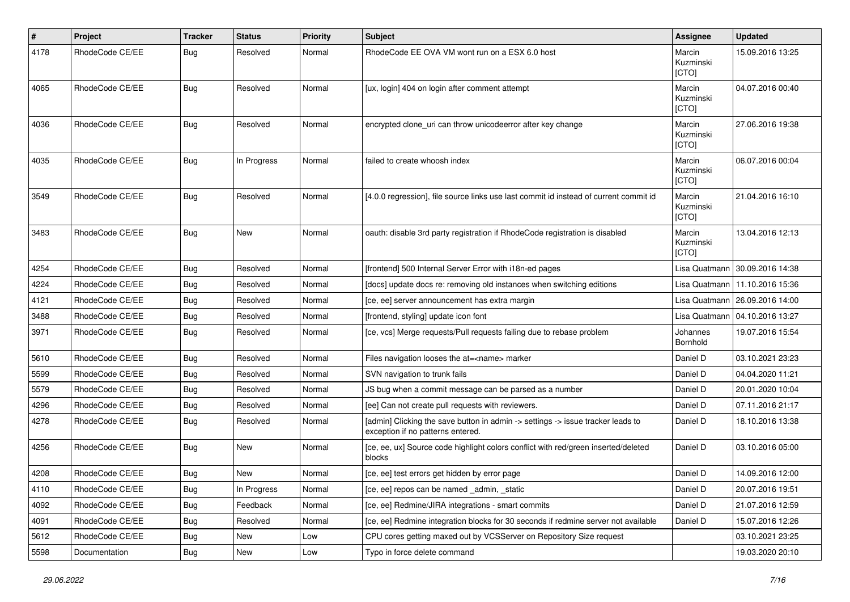| #    | Project         | <b>Tracker</b> | <b>Status</b> | <b>Priority</b> | <b>Subject</b>                                                                                                       | <b>Assignee</b>              | <b>Updated</b>                   |
|------|-----------------|----------------|---------------|-----------------|----------------------------------------------------------------------------------------------------------------------|------------------------------|----------------------------------|
| 4178 | RhodeCode CE/EE | Bug            | Resolved      | Normal          | RhodeCode EE OVA VM wont run on a ESX 6.0 host                                                                       | Marcin<br>Kuzminski<br>[CTO] | 15.09.2016 13:25                 |
| 4065 | RhodeCode CE/EE | Bug            | Resolved      | Normal          | [ux, login] 404 on login after comment attempt                                                                       | Marcin<br>Kuzminski<br>[CTO] | 04.07.2016 00:40                 |
| 4036 | RhodeCode CE/EE | Bug            | Resolved      | Normal          | encrypted clone uri can throw unicodeerror after key change                                                          | Marcin<br>Kuzminski<br>[CTO] | 27.06.2016 19:38                 |
| 4035 | RhodeCode CE/EE | Bug            | In Progress   | Normal          | failed to create whoosh index                                                                                        | Marcin<br>Kuzminski<br>[CTO] | 06.07.2016 00:04                 |
| 3549 | RhodeCode CE/EE | Bug            | Resolved      | Normal          | [4.0.0 regression], file source links use last commit id instead of current commit id                                | Marcin<br>Kuzminski<br>[CTO] | 21.04.2016 16:10                 |
| 3483 | RhodeCode CE/EE | Bug            | <b>New</b>    | Normal          | oauth: disable 3rd party registration if RhodeCode registration is disabled                                          | Marcin<br>Kuzminski<br>[CTO] | 13.04.2016 12:13                 |
| 4254 | RhodeCode CE/EE | Bug            | Resolved      | Normal          | [frontend] 500 Internal Server Error with i18n-ed pages                                                              | Lisa Quatmann                | 30.09.2016 14:38                 |
| 4224 | RhodeCode CE/EE | Bug            | Resolved      | Normal          | [docs] update docs re: removing old instances when switching editions                                                | Lisa Quatmann                | 11.10.2016 15:36                 |
| 4121 | RhodeCode CE/EE | Bug            | Resolved      | Normal          | [ce, ee] server announcement has extra margin                                                                        |                              | Lisa Quatmann   26.09.2016 14:00 |
| 3488 | RhodeCode CE/EE | Bug            | Resolved      | Normal          | [frontend, styling] update icon font                                                                                 | Lisa Quatmann                | 04.10.2016 13:27                 |
| 3971 | RhodeCode CE/EE | Bug            | Resolved      | Normal          | [ce, vcs] Merge requests/Pull requests failing due to rebase problem                                                 | Johannes<br>Bornhold         | 19.07.2016 15:54                 |
| 5610 | RhodeCode CE/EE | Bug            | Resolved      | Normal          | Files navigation looses the at= <name> marker</name>                                                                 | Daniel D                     | 03.10.2021 23:23                 |
| 5599 | RhodeCode CE/EE | Bug            | Resolved      | Normal          | SVN navigation to trunk fails                                                                                        | Daniel D                     | 04.04.2020 11:21                 |
| 5579 | RhodeCode CE/EE | Bug            | Resolved      | Normal          | JS bug when a commit message can be parsed as a number                                                               | Daniel D                     | 20.01.2020 10:04                 |
| 4296 | RhodeCode CE/EE | Bug            | Resolved      | Normal          | [ee] Can not create pull requests with reviewers.                                                                    | Daniel D                     | 07.11.2016 21:17                 |
| 4278 | RhodeCode CE/EE | Bug            | Resolved      | Normal          | [admin] Clicking the save button in admin -> settings -> issue tracker leads to<br>exception if no patterns entered. | Daniel D                     | 18.10.2016 13:38                 |
| 4256 | RhodeCode CE/EE | Bug            | New           | Normal          | [ce, ee, ux] Source code highlight colors conflict with red/green inserted/deleted<br>blocks                         | Daniel D                     | 03.10.2016 05:00                 |
| 4208 | RhodeCode CE/EE | Bug            | New           | Normal          | [ce, ee] test errors get hidden by error page                                                                        | Daniel D                     | 14.09.2016 12:00                 |
| 4110 | RhodeCode CE/EE | <b>Bug</b>     | In Progress   | Normal          | [ce, ee] repos can be named _admin, _static                                                                          | Daniel D                     | 20.07.2016 19:51                 |
| 4092 | RhodeCode CE/EE | Bug            | Feedback      | Normal          | [ce, ee] Redmine/JIRA integrations - smart commits                                                                   | Daniel D                     | 21.07.2016 12:59                 |
| 4091 | RhodeCode CE/EE | <b>Bug</b>     | Resolved      | Normal          | [ce, ee] Redmine integration blocks for 30 seconds if redmine server not available                                   | Daniel D                     | 15.07.2016 12:26                 |
| 5612 | RhodeCode CE/EE | Bug            | New           | Low             | CPU cores getting maxed out by VCSServer on Repository Size request                                                  |                              | 03.10.2021 23:25                 |
| 5598 | Documentation   | <b>Bug</b>     | New           | Low             | Typo in force delete command                                                                                         |                              | 19.03.2020 20:10                 |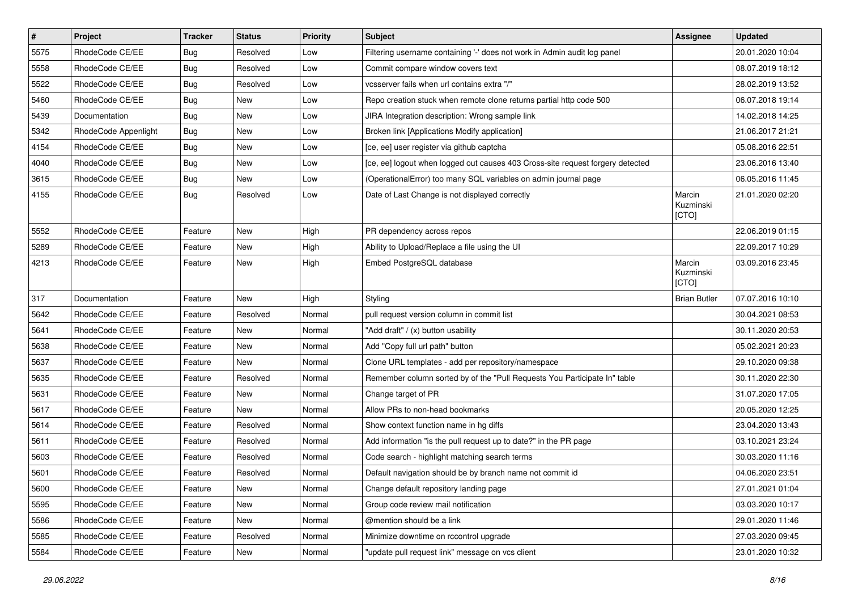| $\pmb{\#}$ | Project              | <b>Tracker</b> | <b>Status</b> | <b>Priority</b> | <b>Subject</b>                                                                 | <b>Assignee</b>              | <b>Updated</b>   |
|------------|----------------------|----------------|---------------|-----------------|--------------------------------------------------------------------------------|------------------------------|------------------|
| 5575       | RhodeCode CE/EE      | Bug            | Resolved      | Low             | Filtering username containing '-' does not work in Admin audit log panel       |                              | 20.01.2020 10:04 |
| 5558       | RhodeCode CE/EE      | Bug            | Resolved      | Low             | Commit compare window covers text                                              |                              | 08.07.2019 18:12 |
| 5522       | RhodeCode CE/EE      | Bug            | Resolved      | Low             | vcsserver fails when url contains extra "/"                                    |                              | 28.02.2019 13:52 |
| 5460       | RhodeCode CE/EE      | <b>Bug</b>     | New           | Low             | Repo creation stuck when remote clone returns partial http code 500            |                              | 06.07.2018 19:14 |
| 5439       | Documentation        | Bug            | <b>New</b>    | Low             | JIRA Integration description: Wrong sample link                                |                              | 14.02.2018 14:25 |
| 5342       | RhodeCode Appenlight | Bug            | New           | Low             | Broken link [Applications Modify application]                                  |                              | 21.06.2017 21:21 |
| 4154       | RhodeCode CE/EE      | <b>Bug</b>     | New           | Low             | [ce, ee] user register via github captcha                                      |                              | 05.08.2016 22:51 |
| 4040       | RhodeCode CE/EE      | Bug            | New           | Low             | [ce, ee] logout when logged out causes 403 Cross-site request forgery detected |                              | 23.06.2016 13:40 |
| 3615       | RhodeCode CE/EE      | Bug            | <b>New</b>    | Low             | (OperationalError) too many SQL variables on admin journal page                |                              | 06.05.2016 11:45 |
| 4155       | RhodeCode CE/EE      | Bug            | Resolved      | Low             | Date of Last Change is not displayed correctly                                 | Marcin<br>Kuzminski<br>[CTO] | 21.01.2020 02:20 |
| 5552       | RhodeCode CE/EE      | Feature        | <b>New</b>    | High            | PR dependency across repos                                                     |                              | 22.06.2019 01:15 |
| 5289       | RhodeCode CE/EE      | Feature        | New           | High            | Ability to Upload/Replace a file using the UI                                  |                              | 22.09.2017 10:29 |
| 4213       | RhodeCode CE/EE      | Feature        | New           | High            | Embed PostgreSQL database                                                      | Marcin<br>Kuzminski<br>[CTO] | 03.09.2016 23:45 |
| 317        | Documentation        | Feature        | <b>New</b>    | High            | Styling                                                                        | <b>Brian Butler</b>          | 07.07.2016 10:10 |
| 5642       | RhodeCode CE/EE      | Feature        | Resolved      | Normal          | pull request version column in commit list                                     |                              | 30.04.2021 08:53 |
| 5641       | RhodeCode CE/EE      | Feature        | New           | Normal          | "Add draft" / (x) button usability                                             |                              | 30.11.2020 20:53 |
| 5638       | RhodeCode CE/EE      | Feature        | <b>New</b>    | Normal          | Add "Copy full url path" button                                                |                              | 05.02.2021 20:23 |
| 5637       | RhodeCode CE/EE      | Feature        | <b>New</b>    | Normal          | Clone URL templates - add per repository/namespace                             |                              | 29.10.2020 09:38 |
| 5635       | RhodeCode CE/EE      | Feature        | Resolved      | Normal          | Remember column sorted by of the "Pull Requests You Participate In" table      |                              | 30.11.2020 22:30 |
| 5631       | RhodeCode CE/EE      | Feature        | <b>New</b>    | Normal          | Change target of PR                                                            |                              | 31.07.2020 17:05 |
| 5617       | RhodeCode CE/EE      | Feature        | <b>New</b>    | Normal          | Allow PRs to non-head bookmarks                                                |                              | 20.05.2020 12:25 |
| 5614       | RhodeCode CE/EE      | Feature        | Resolved      | Normal          | Show context function name in hg diffs                                         |                              | 23.04.2020 13:43 |
| 5611       | RhodeCode CE/EE      | Feature        | Resolved      | Normal          | Add information "is the pull request up to date?" in the PR page               |                              | 03.10.2021 23:24 |
| 5603       | RhodeCode CE/EE      | Feature        | Resolved      | Normal          | Code search - highlight matching search terms                                  |                              | 30.03.2020 11:16 |
| 5601       | RhodeCode CE/EE      | Feature        | Resolved      | Normal          | Default navigation should be by branch name not commit id                      |                              | 04.06.2020 23:51 |
| 5600       | RhodeCode CE/EE      | Feature        | New           | Normal          | Change default repository landing page                                         |                              | 27.01.2021 01:04 |
| 5595       | RhodeCode CE/EE      | Feature        | New           | Normal          | Group code review mail notification                                            |                              | 03.03.2020 10:17 |
| 5586       | RhodeCode CE/EE      | Feature        | New           | Normal          | @mention should be a link                                                      |                              | 29.01.2020 11:46 |
| 5585       | RhodeCode CE/EE      | Feature        | Resolved      | Normal          | Minimize downtime on rccontrol upgrade                                         |                              | 27.03.2020 09:45 |
| 5584       | RhodeCode CE/EE      | Feature        | New           | Normal          | "update pull request link" message on vcs client                               |                              | 23.01.2020 10:32 |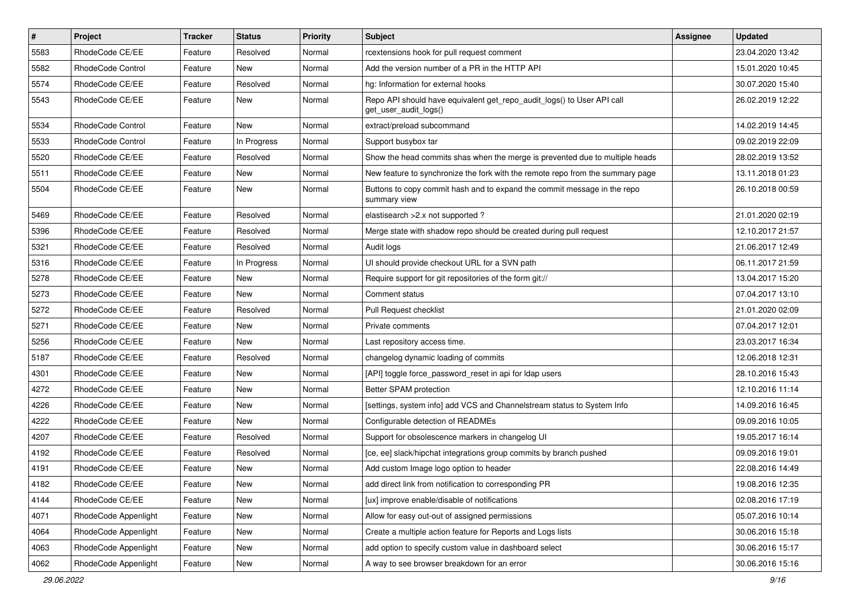| $\vert$ # | Project              | <b>Tracker</b> | <b>Status</b> | <b>Priority</b> | <b>Subject</b>                                                                                  | <b>Assignee</b> | <b>Updated</b>   |
|-----------|----------------------|----------------|---------------|-----------------|-------------------------------------------------------------------------------------------------|-----------------|------------------|
| 5583      | RhodeCode CE/EE      | Feature        | Resolved      | Normal          | rcextensions hook for pull request comment                                                      |                 | 23.04.2020 13:42 |
| 5582      | RhodeCode Control    | Feature        | <b>New</b>    | Normal          | Add the version number of a PR in the HTTP API                                                  |                 | 15.01.2020 10:45 |
| 5574      | RhodeCode CE/EE      | Feature        | Resolved      | Normal          | hg: Information for external hooks                                                              |                 | 30.07.2020 15:40 |
| 5543      | RhodeCode CE/EE      | Feature        | New           | Normal          | Repo API should have equivalent get_repo_audit_logs() to User API call<br>get_user_audit_logs() |                 | 26.02.2019 12:22 |
| 5534      | RhodeCode Control    | Feature        | <b>New</b>    | Normal          | extract/preload subcommand                                                                      |                 | 14.02.2019 14:45 |
| 5533      | RhodeCode Control    | Feature        | In Progress   | Normal          | Support busybox tar                                                                             |                 | 09.02.2019 22:09 |
| 5520      | RhodeCode CE/EE      | Feature        | Resolved      | Normal          | Show the head commits shas when the merge is prevented due to multiple heads                    |                 | 28.02.2019 13:52 |
| 5511      | RhodeCode CE/EE      | Feature        | New           | Normal          | New feature to synchronize the fork with the remote repo from the summary page                  |                 | 13.11.2018 01:23 |
| 5504      | RhodeCode CE/EE      | Feature        | <b>New</b>    | Normal          | Buttons to copy commit hash and to expand the commit message in the repo<br>summary view        |                 | 26.10.2018 00:59 |
| 5469      | RhodeCode CE/EE      | Feature        | Resolved      | Normal          | elastisearch > 2.x not supported?                                                               |                 | 21.01.2020 02:19 |
| 5396      | RhodeCode CE/EE      | Feature        | Resolved      | Normal          | Merge state with shadow repo should be created during pull request                              |                 | 12.10.2017 21:57 |
| 5321      | RhodeCode CE/EE      | Feature        | Resolved      | Normal          | Audit logs                                                                                      |                 | 21.06.2017 12:49 |
| 5316      | RhodeCode CE/EE      | Feature        | In Progress   | Normal          | UI should provide checkout URL for a SVN path                                                   |                 | 06.11.2017 21:59 |
| 5278      | RhodeCode CE/EE      | Feature        | <b>New</b>    | Normal          | Require support for git repositories of the form git://                                         |                 | 13.04.2017 15:20 |
| 5273      | RhodeCode CE/EE      | Feature        | New           | Normal          | Comment status                                                                                  |                 | 07.04.2017 13:10 |
| 5272      | RhodeCode CE/EE      | Feature        | Resolved      | Normal          | Pull Request checklist                                                                          |                 | 21.01.2020 02:09 |
| 5271      | RhodeCode CE/EE      | Feature        | New           | Normal          | Private comments                                                                                |                 | 07.04.2017 12:01 |
| 5256      | RhodeCode CE/EE      | Feature        | New           | Normal          | Last repository access time.                                                                    |                 | 23.03.2017 16:34 |
| 5187      | RhodeCode CE/EE      | Feature        | Resolved      | Normal          | changelog dynamic loading of commits                                                            |                 | 12.06.2018 12:31 |
| 4301      | RhodeCode CE/EE      | Feature        | New           | Normal          | [API] toggle force_password_reset in api for Idap users                                         |                 | 28.10.2016 15:43 |
| 4272      | RhodeCode CE/EE      | Feature        | New           | Normal          | Better SPAM protection                                                                          |                 | 12.10.2016 11:14 |
| 4226      | RhodeCode CE/EE      | Feature        | New           | Normal          | [settings, system info] add VCS and Channelstream status to System Info                         |                 | 14.09.2016 16:45 |
| 4222      | RhodeCode CE/EE      | Feature        | New           | Normal          | Configurable detection of READMEs                                                               |                 | 09.09.2016 10:05 |
| 4207      | RhodeCode CE/EE      | Feature        | Resolved      | Normal          | Support for obsolescence markers in changelog UI                                                |                 | 19.05.2017 16:14 |
| 4192      | RhodeCode CE/EE      | Feature        | Resolved      | Normal          | [ce, ee] slack/hipchat integrations group commits by branch pushed                              |                 | 09.09.2016 19:01 |
| 4191      | RhodeCode CE/EE      | Feature        | New           | Normal          | Add custom Image logo option to header                                                          |                 | 22.08.2016 14:49 |
| 4182      | RhodeCode CE/EE      | Feature        | New           | Normal          | add direct link from notification to corresponding PR                                           |                 | 19.08.2016 12:35 |
| 4144      | RhodeCode CE/EE      | Feature        | New           | Normal          | [ux] improve enable/disable of notifications                                                    |                 | 02.08.2016 17:19 |
| 4071      | RhodeCode Appenlight | Feature        | New           | Normal          | Allow for easy out-out of assigned permissions                                                  |                 | 05.07.2016 10:14 |
| 4064      | RhodeCode Appenlight | Feature        | New           | Normal          | Create a multiple action feature for Reports and Logs lists                                     |                 | 30.06.2016 15:18 |
| 4063      | RhodeCode Appenlight | Feature        | New           | Normal          | add option to specify custom value in dashboard select                                          |                 | 30.06.2016 15:17 |
| 4062      | RhodeCode Appenlight | Feature        | New           | Normal          | A way to see browser breakdown for an error                                                     |                 | 30.06.2016 15:16 |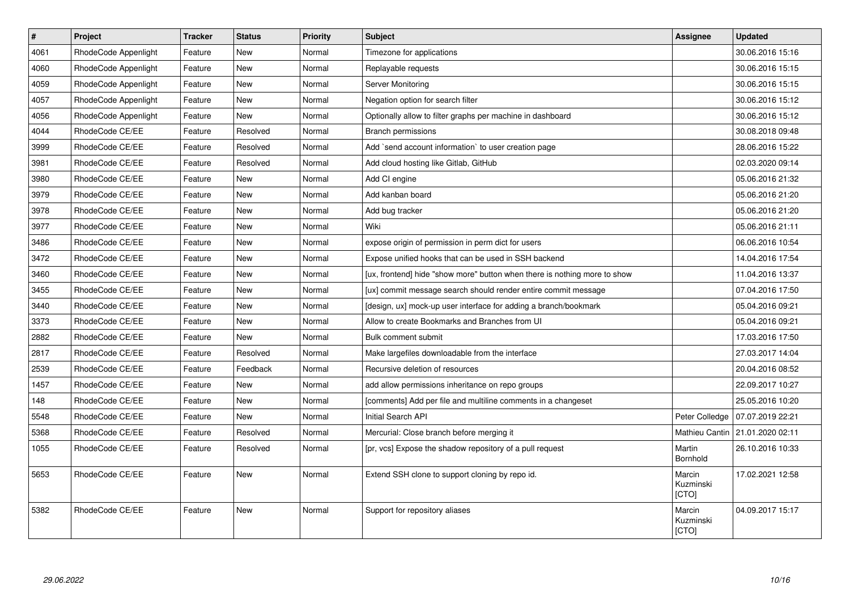| $\pmb{\#}$ | Project              | <b>Tracker</b> | <b>Status</b> | <b>Priority</b> | <b>Subject</b>                                                            | Assignee                            | <b>Updated</b>   |
|------------|----------------------|----------------|---------------|-----------------|---------------------------------------------------------------------------|-------------------------------------|------------------|
| 4061       | RhodeCode Appenlight | Feature        | New           | Normal          | Timezone for applications                                                 |                                     | 30.06.2016 15:16 |
| 4060       | RhodeCode Appenlight | Feature        | New           | Normal          | Replayable requests                                                       |                                     | 30.06.2016 15:15 |
| 4059       | RhodeCode Appenlight | Feature        | <b>New</b>    | Normal          | Server Monitoring                                                         |                                     | 30.06.2016 15:15 |
| 4057       | RhodeCode Appenlight | Feature        | <b>New</b>    | Normal          | Negation option for search filter                                         |                                     | 30.06.2016 15:12 |
| 4056       | RhodeCode Appenlight | Feature        | <b>New</b>    | Normal          | Optionally allow to filter graphs per machine in dashboard                |                                     | 30.06.2016 15:12 |
| 4044       | RhodeCode CE/EE      | Feature        | Resolved      | Normal          | <b>Branch permissions</b>                                                 |                                     | 30.08.2018 09:48 |
| 3999       | RhodeCode CE/EE      | Feature        | Resolved      | Normal          | Add `send account information` to user creation page                      |                                     | 28.06.2016 15:22 |
| 3981       | RhodeCode CE/EE      | Feature        | Resolved      | Normal          | Add cloud hosting like Gitlab, GitHub                                     |                                     | 02.03.2020 09:14 |
| 3980       | RhodeCode CE/EE      | Feature        | New           | Normal          | Add CI engine                                                             |                                     | 05.06.2016 21:32 |
| 3979       | RhodeCode CE/EE      | Feature        | <b>New</b>    | Normal          | Add kanban board                                                          |                                     | 05.06.2016 21:20 |
| 3978       | RhodeCode CE/EE      | Feature        | <b>New</b>    | Normal          | Add bug tracker                                                           |                                     | 05.06.2016 21:20 |
| 3977       | RhodeCode CE/EE      | Feature        | <b>New</b>    | Normal          | Wiki                                                                      |                                     | 05.06.2016 21:11 |
| 3486       | RhodeCode CE/EE      | Feature        | <b>New</b>    | Normal          | expose origin of permission in perm dict for users                        |                                     | 06.06.2016 10:54 |
| 3472       | RhodeCode CE/EE      | Feature        | <b>New</b>    | Normal          | Expose unified hooks that can be used in SSH backend                      |                                     | 14.04.2016 17:54 |
| 3460       | RhodeCode CE/EE      | Feature        | New           | Normal          | [ux, frontend] hide "show more" button when there is nothing more to show |                                     | 11.04.2016 13:37 |
| 3455       | RhodeCode CE/EE      | Feature        | <b>New</b>    | Normal          | [ux] commit message search should render entire commit message            |                                     | 07.04.2016 17:50 |
| 3440       | RhodeCode CE/EE      | Feature        | <b>New</b>    | Normal          | [design, ux] mock-up user interface for adding a branch/bookmark          |                                     | 05.04.2016 09:21 |
| 3373       | RhodeCode CE/EE      | Feature        | <b>New</b>    | Normal          | Allow to create Bookmarks and Branches from UI                            |                                     | 05.04.2016 09:21 |
| 2882       | RhodeCode CE/EE      | Feature        | <b>New</b>    | Normal          | Bulk comment submit                                                       |                                     | 17.03.2016 17:50 |
| 2817       | RhodeCode CE/EE      | Feature        | Resolved      | Normal          | Make largefiles downloadable from the interface                           |                                     | 27.03.2017 14:04 |
| 2539       | RhodeCode CE/EE      | Feature        | Feedback      | Normal          | Recursive deletion of resources                                           |                                     | 20.04.2016 08:52 |
| 1457       | RhodeCode CE/EE      | Feature        | <b>New</b>    | Normal          | add allow permissions inheritance on repo groups                          |                                     | 22.09.2017 10:27 |
| 148        | RhodeCode CE/EE      | Feature        | New           | Normal          | [comments] Add per file and multiline comments in a changeset             |                                     | 25.05.2016 10:20 |
| 5548       | RhodeCode CE/EE      | Feature        | <b>New</b>    | Normal          | Initial Search API                                                        | Peter Colledge                      | 07.07.2019 22:21 |
| 5368       | RhodeCode CE/EE      | Feature        | Resolved      | Normal          | Mercurial: Close branch before merging it                                 | Mathieu Cantin                      | 21.01.2020 02:11 |
| 1055       | RhodeCode CE/EE      | Feature        | Resolved      | Normal          | [pr, vcs] Expose the shadow repository of a pull request                  | Martin<br>Bornhold                  | 26.10.2016 10:33 |
| 5653       | RhodeCode CE/EE      | Feature        | <b>New</b>    | Normal          | Extend SSH clone to support cloning by repo id.                           | Marcin<br>Kuzminski<br><b>[CTO]</b> | 17.02.2021 12:58 |
| 5382       | RhodeCode CE/EE      | Feature        | New           | Normal          | Support for repository aliases                                            | Marcin<br>Kuzminski<br>[CTO]        | 04.09.2017 15:17 |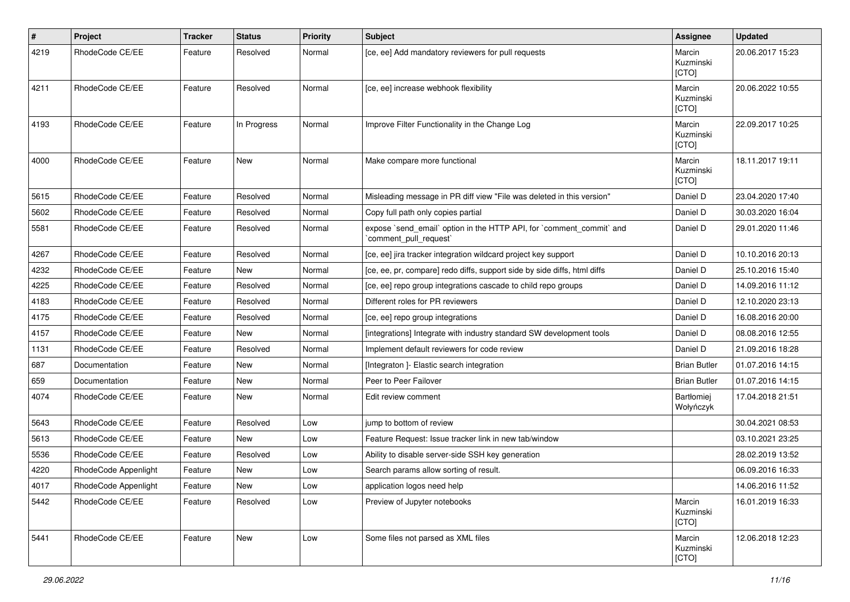| $\sharp$ | Project              | <b>Tracker</b> | <b>Status</b> | <b>Priority</b> | <b>Subject</b>                                                                                 | Assignee                     | <b>Updated</b>   |
|----------|----------------------|----------------|---------------|-----------------|------------------------------------------------------------------------------------------------|------------------------------|------------------|
| 4219     | RhodeCode CE/EE      | Feature        | Resolved      | Normal          | [ce, ee] Add mandatory reviewers for pull requests                                             | Marcin<br>Kuzminski<br>[CTO] | 20.06.2017 15:23 |
| 4211     | RhodeCode CE/EE      | Feature        | Resolved      | Normal          | [ce, ee] increase webhook flexibility                                                          | Marcin<br>Kuzminski<br>[CTO] | 20.06.2022 10:55 |
| 4193     | RhodeCode CE/EE      | Feature        | In Progress   | Normal          | Improve Filter Functionality in the Change Log                                                 | Marcin<br>Kuzminski<br>[CTO] | 22.09.2017 10:25 |
| 4000     | RhodeCode CE/EE      | Feature        | <b>New</b>    | Normal          | Make compare more functional                                                                   | Marcin<br>Kuzminski<br>[CTO] | 18.11.2017 19:11 |
| 5615     | RhodeCode CE/EE      | Feature        | Resolved      | Normal          | Misleading message in PR diff view "File was deleted in this version"                          | Daniel D                     | 23.04.2020 17:40 |
| 5602     | RhodeCode CE/EE      | Feature        | Resolved      | Normal          | Copy full path only copies partial                                                             | Daniel D                     | 30.03.2020 16:04 |
| 5581     | RhodeCode CE/EE      | Feature        | Resolved      | Normal          | expose `send_email` option in the HTTP API, for `comment_commit` and<br>`comment_pull_request` | Daniel D                     | 29.01.2020 11:46 |
| 4267     | RhodeCode CE/EE      | Feature        | Resolved      | Normal          | [ce, ee] jira tracker integration wildcard project key support                                 | Daniel D                     | 10.10.2016 20:13 |
| 4232     | RhodeCode CE/EE      | Feature        | <b>New</b>    | Normal          | [ce, ee, pr, compare] redo diffs, support side by side diffs, html diffs                       | Daniel D                     | 25.10.2016 15:40 |
| 4225     | RhodeCode CE/EE      | Feature        | Resolved      | Normal          | [ce, ee] repo group integrations cascade to child repo groups                                  | Daniel D                     | 14.09.2016 11:12 |
| 4183     | RhodeCode CE/EE      | Feature        | Resolved      | Normal          | Different roles for PR reviewers                                                               | Daniel D                     | 12.10.2020 23:13 |
| 4175     | RhodeCode CE/EE      | Feature        | Resolved      | Normal          | [ce, ee] repo group integrations                                                               | Daniel D                     | 16.08.2016 20:00 |
| 4157     | RhodeCode CE/EE      | Feature        | New           | Normal          | [integrations] Integrate with industry standard SW development tools                           | Daniel D                     | 08.08.2016 12:55 |
| 1131     | RhodeCode CE/EE      | Feature        | Resolved      | Normal          | Implement default reviewers for code review                                                    | Daniel D                     | 21.09.2016 18:28 |
| 687      | Documentation        | Feature        | <b>New</b>    | Normal          | [Integraton ]- Elastic search integration                                                      | <b>Brian Butler</b>          | 01.07.2016 14:15 |
| 659      | Documentation        | Feature        | New           | Normal          | Peer to Peer Failover                                                                          | <b>Brian Butler</b>          | 01.07.2016 14:15 |
| 4074     | RhodeCode CE/EE      | Feature        | New           | Normal          | Edit review comment                                                                            | Bartłomiej<br>Wołyńczyk      | 17.04.2018 21:51 |
| 5643     | RhodeCode CE/EE      | Feature        | Resolved      | Low             | jump to bottom of review                                                                       |                              | 30.04.2021 08:53 |
| 5613     | RhodeCode CE/EE      | Feature        | <b>New</b>    | Low             | Feature Request: Issue tracker link in new tab/window                                          |                              | 03.10.2021 23:25 |
| 5536     | RhodeCode CE/EE      | Feature        | Resolved      | Low             | Ability to disable server-side SSH key generation                                              |                              | 28.02.2019 13:52 |
| 4220     | RhodeCode Appenlight | Feature        | New           | Low             | Search params allow sorting of result.                                                         |                              | 06.09.2016 16:33 |
| 4017     | RhodeCode Appenlight | Feature        | New           | Low             | application logos need help                                                                    |                              | 14.06.2016 11:52 |
| 5442     | RhodeCode CE/EE      | Feature        | Resolved      | Low             | Preview of Jupyter notebooks                                                                   | Marcin<br>Kuzminski<br>[CTO] | 16.01.2019 16:33 |
| 5441     | RhodeCode CE/EE      | Feature        | New           | Low             | Some files not parsed as XML files                                                             | Marcin<br>Kuzminski<br>[CTO] | 12.06.2018 12:23 |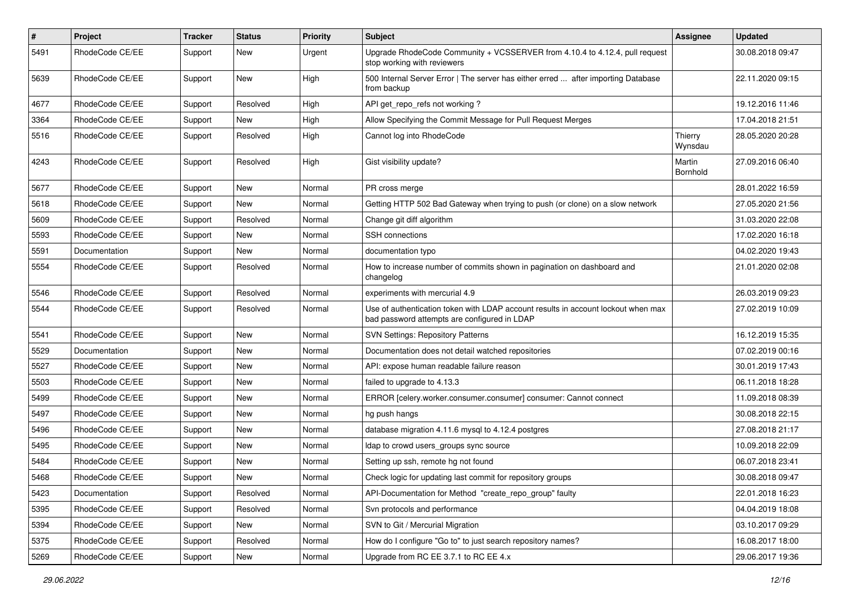| $\vert$ # | Project         | Tracker | <b>Status</b> | <b>Priority</b> | Subject                                                                                                                           | Assignee           | <b>Updated</b>   |
|-----------|-----------------|---------|---------------|-----------------|-----------------------------------------------------------------------------------------------------------------------------------|--------------------|------------------|
| 5491      | RhodeCode CE/EE | Support | New           | Urgent          | Upgrade RhodeCode Community + VCSSERVER from 4.10.4 to 4.12.4, pull request<br>stop working with reviewers                        |                    | 30.08.2018 09:47 |
| 5639      | RhodeCode CE/EE | Support | New           | High            | 500 Internal Server Error   The server has either erred  after importing Database<br>from backup                                  |                    | 22.11.2020 09:15 |
| 4677      | RhodeCode CE/EE | Support | Resolved      | High            | API get_repo_refs not working?                                                                                                    |                    | 19.12.2016 11:46 |
| 3364      | RhodeCode CE/EE | Support | New           | High            | Allow Specifying the Commit Message for Pull Request Merges                                                                       |                    | 17.04.2018 21:51 |
| 5516      | RhodeCode CE/EE | Support | Resolved      | High            | Cannot log into RhodeCode                                                                                                         | Thierry<br>Wynsdau | 28.05.2020 20:28 |
| 4243      | RhodeCode CE/EE | Support | Resolved      | High            | Gist visibility update?                                                                                                           | Martin<br>Bornhold | 27.09.2016 06:40 |
| 5677      | RhodeCode CE/EE | Support | New           | Normal          | PR cross merge                                                                                                                    |                    | 28.01.2022 16:59 |
| 5618      | RhodeCode CE/EE | Support | New           | Normal          | Getting HTTP 502 Bad Gateway when trying to push (or clone) on a slow network                                                     |                    | 27.05.2020 21:56 |
| 5609      | RhodeCode CE/EE | Support | Resolved      | Normal          | Change git diff algorithm                                                                                                         |                    | 31.03.2020 22:08 |
| 5593      | RhodeCode CE/EE | Support | New           | Normal          | SSH connections                                                                                                                   |                    | 17.02.2020 16:18 |
| 5591      | Documentation   | Support | New           | Normal          | documentation typo                                                                                                                |                    | 04.02.2020 19:43 |
| 5554      | RhodeCode CE/EE | Support | Resolved      | Normal          | How to increase number of commits shown in pagination on dashboard and<br>changelog                                               |                    | 21.01.2020 02:08 |
| 5546      | RhodeCode CE/EE | Support | Resolved      | Normal          | experiments with mercurial 4.9                                                                                                    |                    | 26.03.2019 09:23 |
| 5544      | RhodeCode CE/EE | Support | Resolved      | Normal          | Use of authentication token with LDAP account results in account lockout when max<br>bad password attempts are configured in LDAP |                    | 27.02.2019 10:09 |
| 5541      | RhodeCode CE/EE | Support | New           | Normal          | SVN Settings: Repository Patterns                                                                                                 |                    | 16.12.2019 15:35 |
| 5529      | Documentation   | Support | New           | Normal          | Documentation does not detail watched repositories                                                                                |                    | 07.02.2019 00:16 |
| 5527      | RhodeCode CE/EE | Support | New           | Normal          | API: expose human readable failure reason                                                                                         |                    | 30.01.2019 17:43 |
| 5503      | RhodeCode CE/EE | Support | New           | Normal          | failed to upgrade to 4.13.3                                                                                                       |                    | 06.11.2018 18:28 |
| 5499      | RhodeCode CE/EE | Support | New           | Normal          | ERROR [celery.worker.consumer.consumer] consumer: Cannot connect                                                                  |                    | 11.09.2018 08:39 |
| 5497      | RhodeCode CE/EE | Support | New           | Normal          | hg push hangs                                                                                                                     |                    | 30.08.2018 22:15 |
| 5496      | RhodeCode CE/EE | Support | New           | Normal          | database migration 4.11.6 mysql to 4.12.4 postgres                                                                                |                    | 27.08.2018 21:17 |
| 5495      | RhodeCode CE/EE | Support | New           | Normal          | Idap to crowd users_groups sync source                                                                                            |                    | 10.09.2018 22:09 |
| 5484      | RhodeCode CE/EE | Support | New           | Normal          | Setting up ssh, remote hg not found                                                                                               |                    | 06.07.2018 23:41 |
| 5468      | RhodeCode CE/EE | Support | New           | Normal          | Check logic for updating last commit for repository groups                                                                        |                    | 30.08.2018 09:47 |
| 5423      | Documentation   | Support | Resolved      | Normal          | API-Documentation for Method "create_repo_group" faulty                                                                           |                    | 22.01.2018 16:23 |
| 5395      | RhodeCode CE/EE | Support | Resolved      | Normal          | Svn protocols and performance                                                                                                     |                    | 04.04.2019 18:08 |
| 5394      | RhodeCode CE/EE | Support | New           | Normal          | SVN to Git / Mercurial Migration                                                                                                  |                    | 03.10.2017 09:29 |
| 5375      | RhodeCode CE/EE | Support | Resolved      | Normal          | How do I configure "Go to" to just search repository names?                                                                       |                    | 16.08.2017 18:00 |
| 5269      | RhodeCode CE/EE | Support | New           | Normal          | Upgrade from RC EE 3.7.1 to RC EE 4.x                                                                                             |                    | 29.06.2017 19:36 |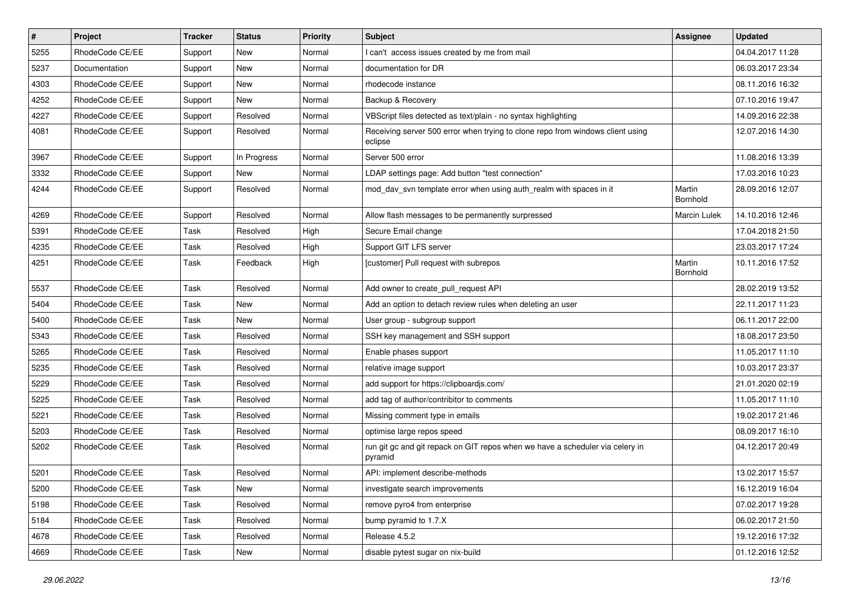| $\vert$ # | Project         | Tracker | <b>Status</b> | <b>Priority</b> | Subject                                                                                   | Assignee            | <b>Updated</b>   |
|-----------|-----------------|---------|---------------|-----------------|-------------------------------------------------------------------------------------------|---------------------|------------------|
| 5255      | RhodeCode CE/EE | Support | New           | Normal          | I can't access issues created by me from mail                                             |                     | 04.04.2017 11:28 |
| 5237      | Documentation   | Support | <b>New</b>    | Normal          | documentation for DR                                                                      |                     | 06.03.2017 23:34 |
| 4303      | RhodeCode CE/EE | Support | New           | Normal          | rhodecode instance                                                                        |                     | 08.11.2016 16:32 |
| 4252      | RhodeCode CE/EE | Support | New           | Normal          | Backup & Recovery                                                                         |                     | 07.10.2016 19:47 |
| 4227      | RhodeCode CE/EE | Support | Resolved      | Normal          | VBScript files detected as text/plain - no syntax highlighting                            |                     | 14.09.2016 22:38 |
| 4081      | RhodeCode CE/EE | Support | Resolved      | Normal          | Receiving server 500 error when trying to clone repo from windows client using<br>eclipse |                     | 12.07.2016 14:30 |
| 3967      | RhodeCode CE/EE | Support | In Progress   | Normal          | Server 500 error                                                                          |                     | 11.08.2016 13:39 |
| 3332      | RhodeCode CE/EE | Support | <b>New</b>    | Normal          | LDAP settings page: Add button "test connection"                                          |                     | 17.03.2016 10:23 |
| 4244      | RhodeCode CE/EE | Support | Resolved      | Normal          | mod_dav_svn template error when using auth_realm with spaces in it                        | Martin<br>Bornhold  | 28.09.2016 12:07 |
| 4269      | RhodeCode CE/EE | Support | Resolved      | Normal          | Allow flash messages to be permanently surpressed                                         | <b>Marcin Lulek</b> | 14.10.2016 12:46 |
| 5391      | RhodeCode CE/EE | Task    | Resolved      | High            | Secure Email change                                                                       |                     | 17.04.2018 21:50 |
| 4235      | RhodeCode CE/EE | Task    | Resolved      | High            | Support GIT LFS server                                                                    |                     | 23.03.2017 17:24 |
| 4251      | RhodeCode CE/EE | Task    | Feedback      | High            | [customer] Pull request with subrepos                                                     | Martin<br>Bornhold  | 10.11.2016 17:52 |
| 5537      | RhodeCode CE/EE | Task    | Resolved      | Normal          | Add owner to create_pull_request API                                                      |                     | 28.02.2019 13:52 |
| 5404      | RhodeCode CE/EE | Task    | New           | Normal          | Add an option to detach review rules when deleting an user                                |                     | 22.11.2017 11:23 |
| 5400      | RhodeCode CE/EE | Task    | <b>New</b>    | Normal          | User group - subgroup support                                                             |                     | 06.11.2017 22:00 |
| 5343      | RhodeCode CE/EE | Task    | Resolved      | Normal          | SSH key management and SSH support                                                        |                     | 18.08.2017 23:50 |
| 5265      | RhodeCode CE/EE | Task    | Resolved      | Normal          | Enable phases support                                                                     |                     | 11.05.2017 11:10 |
| 5235      | RhodeCode CE/EE | Task    | Resolved      | Normal          | relative image support                                                                    |                     | 10.03.2017 23:37 |
| 5229      | RhodeCode CE/EE | Task    | Resolved      | Normal          | add support for https://clipboardjs.com/                                                  |                     | 21.01.2020 02:19 |
| 5225      | RhodeCode CE/EE | Task    | Resolved      | Normal          | add tag of author/contribitor to comments                                                 |                     | 11.05.2017 11:10 |
| 5221      | RhodeCode CE/EE | Task    | Resolved      | Normal          | Missing comment type in emails                                                            |                     | 19.02.2017 21:46 |
| 5203      | RhodeCode CE/EE | Task    | Resolved      | Normal          | optimise large repos speed                                                                |                     | 08.09.2017 16:10 |
| 5202      | RhodeCode CE/EE | Task    | Resolved      | Normal          | run git gc and git repack on GIT repos when we have a scheduler via celery in<br>pyramid  |                     | 04.12.2017 20:49 |
| 5201      | RhodeCode CE/EE | Task    | Resolved      | Normal          | API: implement describe-methods                                                           |                     | 13.02.2017 15:57 |
| 5200      | RhodeCode CE/EE | Task    | New           | Normal          | investigate search improvements                                                           |                     | 16.12.2019 16:04 |
| 5198      | RhodeCode CE/EE | Task    | Resolved      | Normal          | remove pyro4 from enterprise                                                              |                     | 07.02.2017 19:28 |
| 5184      | RhodeCode CE/EE | Task    | Resolved      | Normal          | bump pyramid to 1.7.X                                                                     |                     | 06.02.2017 21:50 |
| 4678      | RhodeCode CE/EE | Task    | Resolved      | Normal          | Release 4.5.2                                                                             |                     | 19.12.2016 17:32 |
| 4669      | RhodeCode CE/EE | Task    | New           | Normal          | disable pytest sugar on nix-build                                                         |                     | 01.12.2016 12:52 |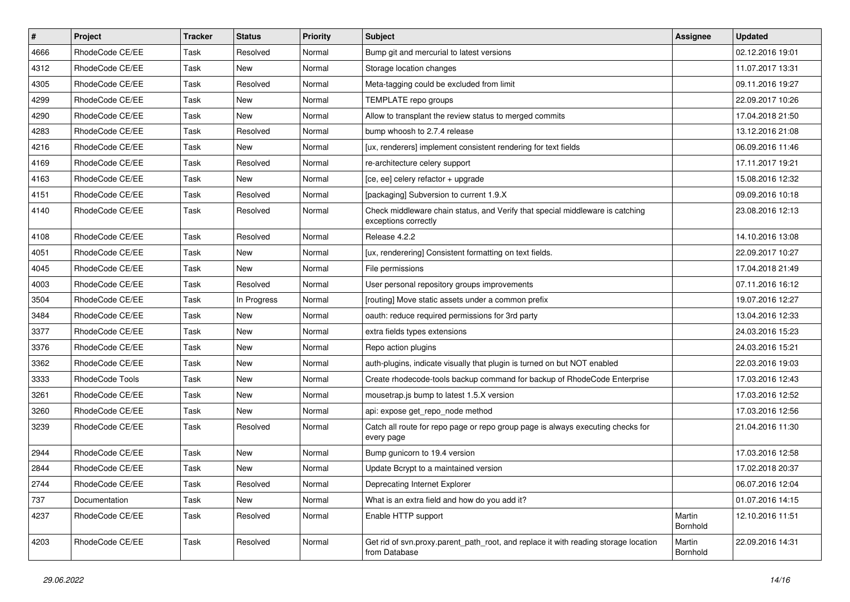| $\pmb{\#}$ | Project         | <b>Tracker</b> | <b>Status</b> | <b>Priority</b> | <b>Subject</b>                                                                                        | <b>Assignee</b>    | <b>Updated</b>   |
|------------|-----------------|----------------|---------------|-----------------|-------------------------------------------------------------------------------------------------------|--------------------|------------------|
| 4666       | RhodeCode CE/EE | Task           | Resolved      | Normal          | Bump git and mercurial to latest versions                                                             |                    | 02.12.2016 19:01 |
| 4312       | RhodeCode CE/EE | Task           | <b>New</b>    | Normal          | Storage location changes                                                                              |                    | 11.07.2017 13:31 |
| 4305       | RhodeCode CE/EE | Task           | Resolved      | Normal          | Meta-tagging could be excluded from limit                                                             |                    | 09.11.2016 19:27 |
| 4299       | RhodeCode CE/EE | Task           | New           | Normal          | TEMPLATE repo groups                                                                                  |                    | 22.09.2017 10:26 |
| 4290       | RhodeCode CE/EE | Task           | New           | Normal          | Allow to transplant the review status to merged commits                                               |                    | 17.04.2018 21:50 |
| 4283       | RhodeCode CE/EE | Task           | Resolved      | Normal          | bump whoosh to 2.7.4 release                                                                          |                    | 13.12.2016 21:08 |
| 4216       | RhodeCode CE/EE | Task           | <b>New</b>    | Normal          | [ux, renderers] implement consistent rendering for text fields                                        |                    | 06.09.2016 11:46 |
| 4169       | RhodeCode CE/EE | Task           | Resolved      | Normal          | re-architecture celery support                                                                        |                    | 17.11.2017 19:21 |
| 4163       | RhodeCode CE/EE | Task           | New           | Normal          | [ce, ee] celery refactor + upgrade                                                                    |                    | 15.08.2016 12:32 |
| 4151       | RhodeCode CE/EE | Task           | Resolved      | Normal          | [packaging] Subversion to current 1.9.X                                                               |                    | 09.09.2016 10:18 |
| 4140       | RhodeCode CE/EE | Task           | Resolved      | Normal          | Check middleware chain status, and Verify that special middleware is catching<br>exceptions correctly |                    | 23.08.2016 12:13 |
| 4108       | RhodeCode CE/EE | Task           | Resolved      | Normal          | Release 4.2.2                                                                                         |                    | 14.10.2016 13:08 |
| 4051       | RhodeCode CE/EE | Task           | New           | Normal          | [ux, renderering] Consistent formatting on text fields.                                               |                    | 22.09.2017 10:27 |
| 4045       | RhodeCode CE/EE | Task           | <b>New</b>    | Normal          | File permissions                                                                                      |                    | 17.04.2018 21:49 |
| 4003       | RhodeCode CE/EE | Task           | Resolved      | Normal          | User personal repository groups improvements                                                          |                    | 07.11.2016 16:12 |
| 3504       | RhodeCode CE/EE | Task           | In Progress   | Normal          | [routing] Move static assets under a common prefix                                                    |                    | 19.07.2016 12:27 |
| 3484       | RhodeCode CE/EE | Task           | New           | Normal          | oauth: reduce required permissions for 3rd party                                                      |                    | 13.04.2016 12:33 |
| 3377       | RhodeCode CE/EE | Task           | <b>New</b>    | Normal          | extra fields types extensions                                                                         |                    | 24.03.2016 15:23 |
| 3376       | RhodeCode CE/EE | Task           | <b>New</b>    | Normal          | Repo action plugins                                                                                   |                    | 24.03.2016 15:21 |
| 3362       | RhodeCode CE/EE | Task           | New           | Normal          | auth-plugins, indicate visually that plugin is turned on but NOT enabled                              |                    | 22.03.2016 19:03 |
| 3333       | RhodeCode Tools | <b>Task</b>    | New           | Normal          | Create rhodecode-tools backup command for backup of RhodeCode Enterprise                              |                    | 17.03.2016 12:43 |
| 3261       | RhodeCode CE/EE | <b>Task</b>    | <b>New</b>    | Normal          | mousetrap.js bump to latest 1.5.X version                                                             |                    | 17.03.2016 12:52 |
| 3260       | RhodeCode CE/EE | Task           | New           | Normal          | api: expose get repo node method                                                                      |                    | 17.03.2016 12:56 |
| 3239       | RhodeCode CE/EE | Task           | Resolved      | Normal          | Catch all route for repo page or repo group page is always executing checks for<br>every page         |                    | 21.04.2016 11:30 |
| 2944       | RhodeCode CE/EE | Task           | <b>New</b>    | Normal          | Bump gunicorn to 19.4 version                                                                         |                    | 17.03.2016 12:58 |
| 2844       | RhodeCode CE/EE | Task           | New           | Normal          | Update Bcrypt to a maintained version                                                                 |                    | 17.02.2018 20:37 |
| 2744       | RhodeCode CE/EE | Task           | Resolved      | Normal          | Deprecating Internet Explorer                                                                         |                    | 06.07.2016 12:04 |
| 737        | Documentation   | Task           | New           | Normal          | What is an extra field and how do you add it?                                                         |                    | 01.07.2016 14:15 |
| 4237       | RhodeCode CE/EE | Task           | Resolved      | Normal          | Enable HTTP support                                                                                   | Martin<br>Bornhold | 12.10.2016 11:51 |
| 4203       | RhodeCode CE/EE | Task           | Resolved      | Normal          | Get rid of svn.proxy.parent path root, and replace it with reading storage location<br>from Database  | Martin<br>Bornhold | 22.09.2016 14:31 |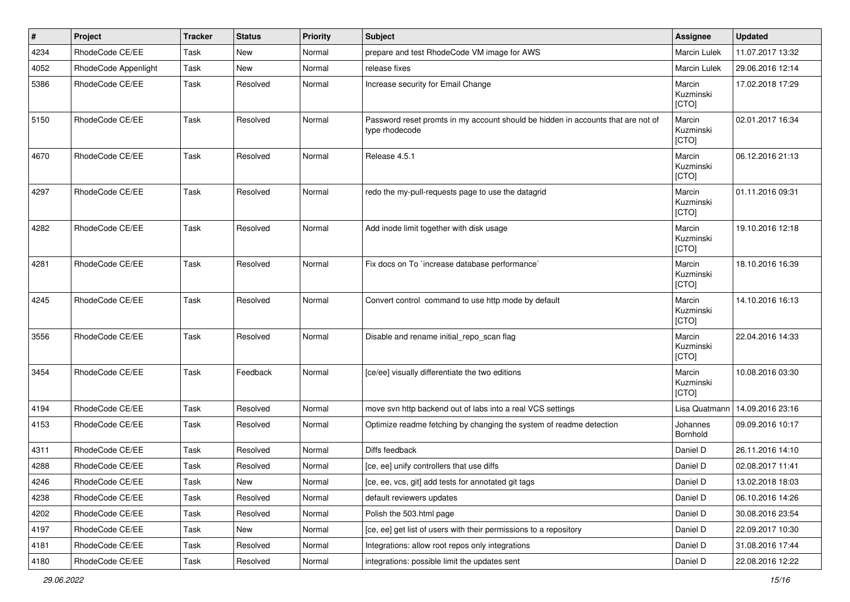| $\vert$ # | Project              | <b>Tracker</b> | <b>Status</b> | <b>Priority</b> | <b>Subject</b>                                                                                     | Assignee                     | <b>Updated</b>   |
|-----------|----------------------|----------------|---------------|-----------------|----------------------------------------------------------------------------------------------------|------------------------------|------------------|
| 4234      | RhodeCode CE/EE      | Task           | New           | Normal          | prepare and test RhodeCode VM image for AWS                                                        | <b>Marcin Lulek</b>          | 11.07.2017 13:32 |
| 4052      | RhodeCode Appenlight | Task           | <b>New</b>    | Normal          | release fixes                                                                                      | Marcin Lulek                 | 29.06.2016 12:14 |
| 5386      | RhodeCode CE/EE      | Task           | Resolved      | Normal          | Increase security for Email Change                                                                 | Marcin<br>Kuzminski<br>[CTO] | 17.02.2018 17:29 |
| 5150      | RhodeCode CE/EE      | Task           | Resolved      | Normal          | Password reset promts in my account should be hidden in accounts that are not of<br>type rhodecode | Marcin<br>Kuzminski<br>[CTO] | 02.01.2017 16:34 |
| 4670      | RhodeCode CE/EE      | Task           | Resolved      | Normal          | Release 4.5.1                                                                                      | Marcin<br>Kuzminski<br>[CTO] | 06.12.2016 21:13 |
| 4297      | RhodeCode CE/EE      | Task           | Resolved      | Normal          | redo the my-pull-requests page to use the datagrid                                                 | Marcin<br>Kuzminski<br>[CTO] | 01.11.2016 09:31 |
| 4282      | RhodeCode CE/EE      | Task           | Resolved      | Normal          | Add inode limit together with disk usage                                                           | Marcin<br>Kuzminski<br>[CTO] | 19.10.2016 12:18 |
| 4281      | RhodeCode CE/EE      | Task           | Resolved      | Normal          | Fix docs on To `increase database performance`                                                     | Marcin<br>Kuzminski<br>[CTO] | 18.10.2016 16:39 |
| 4245      | RhodeCode CE/EE      | Task           | Resolved      | Normal          | Convert control command to use http mode by default                                                | Marcin<br>Kuzminski<br>[CTO] | 14.10.2016 16:13 |
| 3556      | RhodeCode CE/EE      | Task           | Resolved      | Normal          | Disable and rename initial_repo_scan flag                                                          | Marcin<br>Kuzminski<br>[CTO] | 22.04.2016 14:33 |
| 3454      | RhodeCode CE/EE      | Task           | Feedback      | Normal          | [ce/ee] visually differentiate the two editions                                                    | Marcin<br>Kuzminski<br>[CTO] | 10.08.2016 03:30 |
| 4194      | RhodeCode CE/EE      | Task           | Resolved      | Normal          | move svn http backend out of labs into a real VCS settings                                         | Lisa Quatmann                | 14.09.2016 23:16 |
| 4153      | RhodeCode CE/EE      | Task           | Resolved      | Normal          | Optimize readme fetching by changing the system of readme detection                                | Johannes<br>Bornhold         | 09.09.2016 10:17 |
| 4311      | RhodeCode CE/EE      | Task           | Resolved      | Normal          | Diffs feedback                                                                                     | Daniel D                     | 26.11.2016 14:10 |
| 4288      | RhodeCode CE/EE      | Task           | Resolved      | Normal          | [ce, ee] unify controllers that use diffs                                                          | Daniel D                     | 02.08.2017 11:41 |
| 4246      | RhodeCode CE/EE      | Task           | New           | Normal          | [ce, ee, vcs, git] add tests for annotated git tags                                                | Daniel D                     | 13.02.2018 18:03 |
| 4238      | RhodeCode CE/EE      | Task           | Resolved      | Normal          | default reviewers updates                                                                          | Daniel D                     | 06.10.2016 14:26 |
| 4202      | RhodeCode CE/EE      | Task           | Resolved      | Normal          | Polish the 503.html page                                                                           | Daniel D                     | 30.08.2016 23:54 |
| 4197      | RhodeCode CE/EE      | Task           | New           | Normal          | [ce, ee] get list of users with their permissions to a repository                                  | Daniel D                     | 22.09.2017 10:30 |
| 4181      | RhodeCode CE/EE      | Task           | Resolved      | Normal          | Integrations: allow root repos only integrations                                                   | Daniel D                     | 31.08.2016 17:44 |
| 4180      | RhodeCode CE/EE      | Task           | Resolved      | Normal          | integrations: possible limit the updates sent                                                      | Daniel D                     | 22.08.2016 12:22 |